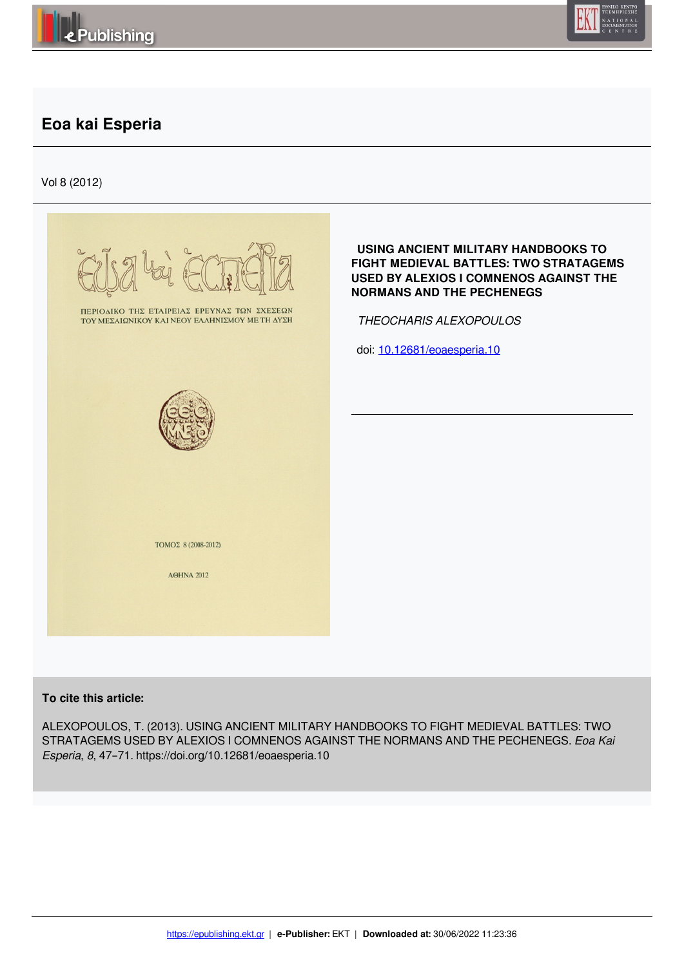



# **Eoa kai Esperia**

Vol 8 (2012)

|                                                                                               | USING ANCIENT MILITARY HANDBOOKS TO<br>FIGHT MEDIEVAL BATTLES: TWO STRATAGEMS<br><b>USED BY ALEXIOS I COMNENOS AGAINST THE</b><br><b>NORMANS AND THE PECHENEGS</b> |
|-----------------------------------------------------------------------------------------------|--------------------------------------------------------------------------------------------------------------------------------------------------------------------|
| ΠΕΡΙΟΔΙΚΟ ΤΗΣ ΕΤΑΙΡΕΙΑΣ ΕΡΕΥΝΑΣ ΤΩΝ ΣΧΕΣΕΩΝ<br>ΤΟΥ ΜΕΣΑΙΩΝΙΚΟΥ ΚΑΙ ΝΕΟΥ ΕΛΛΗΝΙΣΜΟΥ ΜΕ ΤΗ ΔΥΣΗ | THEOCHARIS ALEXOPOULOS                                                                                                                                             |
|                                                                                               | doi: 10.12681/eoaesperia.10                                                                                                                                        |
|                                                                                               |                                                                                                                                                                    |
|                                                                                               |                                                                                                                                                                    |
|                                                                                               |                                                                                                                                                                    |
|                                                                                               |                                                                                                                                                                    |
|                                                                                               |                                                                                                                                                                    |
| TOMOΣ 8 (2008-2012)                                                                           |                                                                                                                                                                    |
| <b>AOHNA 2012</b>                                                                             |                                                                                                                                                                    |
|                                                                                               |                                                                                                                                                                    |
|                                                                                               |                                                                                                                                                                    |
|                                                                                               |                                                                                                                                                                    |

### **To cite this article:**

ALEXOPOULOS, T. (2013). USING ANCIENT MILITARY HANDBOOKS TO FIGHT MEDIEVAL BATTLES: TWO STRATAGEMS USED BY ALEXIOS I COMNENOS AGAINST THE NORMANS AND THE PECHENEGS. *Eoa Kai Esperia*, *8*, 47–71. https://doi.org/10.12681/eoaesperia.10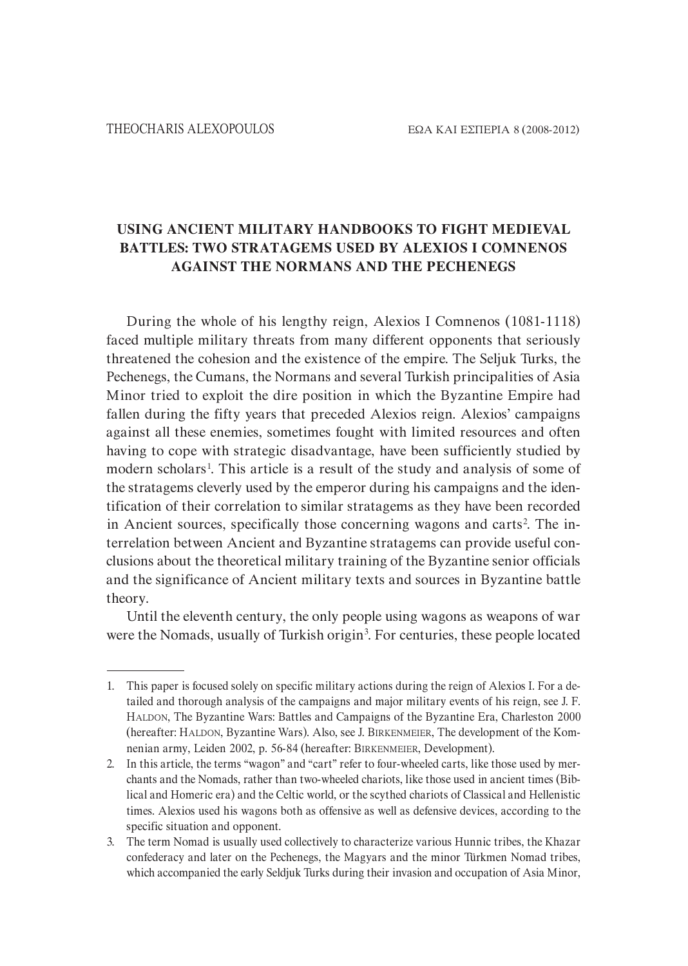### **USING ANCIENT MILITARY HANDBOOKS TO FIGHT MEDIEVAL BATTLES: TWO STRATAGEMS USED BY ALEXIOS I COMNENOS AGAINST THE NORMANS AND THE PECHENEGS**

During the whole of his lengthy reign, Alexios I Comnenos (1081-1118) faced multiple military threats from many different opponents that seriously threatened the cohesion and the existence of the empire. The Seljuk Turks, the Pechenegs, the Cumans, the Normans and several Turkish principalities of Asia Minor tried to exploit the dire position in which the Byzantine Empire had fallen during the fifty years that preceded Alexios reign. Alexios' campaigns against all these enemies, sometimes fought with limited resources and often having to cope with strategic disadvantage, have been sufficiently studied by modern scholars<sup>1</sup>. This article is a result of the study and analysis of some of the stratagems cleverly used by the emperor during his campaigns and the iden` tification of their correlation to similar stratagems as they have been recorded in Ancient sources, specifically those concerning wagons and carts<sup>2</sup>. The interrelation between Ancient and Byzantine stratagems can provide useful con` clusions about the theoretical military training of the Byzantine senior officials and the significance of Ancient military texts and sources in Byzantine battle theory.

Until the eleventh century, the only people using wagons as weapons of war were the Nomads, usually of Turkish origin<sup>3</sup>. For centuries, these people located

<sup>1.</sup> This paper is focused solely on specific military actions during the reign of Alexios I. For a de` tailed and thorough analysis of the campaigns and major military events of his reign, see J. F. HALDON, The Byzantine Wars: Battles and Campaigns of the Byzantine Era, Charleston 2000 (hereafter: HALDON, Byzantine Wars). Also, see J. BIRKENMEIER, The development of the Kom` nenian army, Leiden 2002, p. 56-84 (hereafter: BIRKENMEIER, Development).

<sup>2.</sup> In this article, the terms "wagon" and "cart" refer to four-wheeled carts, like those used by merchants and the Nomads, rather than two-wheeled chariots, like those used in ancient times (Biblical and Homeric era) and the Celtic world, or the scythed chariots of Classical and Hellenistic times. Alexios used his wagons both as offensive as well as defensive devices, according to the specific situation and opponent.

<sup>3.</sup> The term Nomad is usually used collectively to characterize various Hunnic tribes, the Khazar confederacy and later on the Pechenegs, the Magyars and the minor Türkmen Nomad tribes, which accompanied the early Seldjuk Turks during their invasion and occupation of Asia Minor,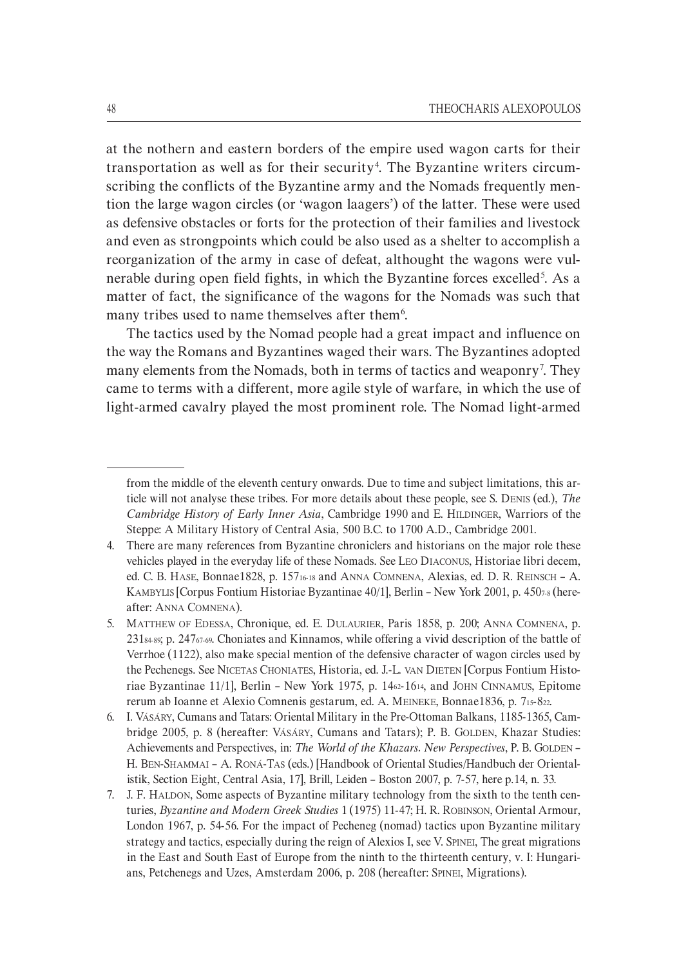at the nothern and eastern borders of the empire used wagon carts for their transportation as well as for their security<sup>4</sup>. The Byzantine writers circumscribing the conflicts of the Byzantine army and the Nomads frequently mention the large wagon circles (or 'wagon laagers') of the latter. These were used as defensive obstacles or forts for the protection of their families and livestock and even as strongpoints which could be also used as a shelter to accomplish a reorganization of the army in case of defeat, althought the wagons were vulnerable during open field fights, in which the Byzantine forces excelled<sup>5</sup>. As a matter of fact, the significance of the wagons for the Nomads was such that many tribes used to name themselves after them<sup>6</sup>.

The tactics used by the Nomad people had a great impact and influence on the way the Romans and Byzantines waged their wars. The Byzantines adopted many elements from the Nomads, both in terms of tactics and weaponry<sup>7</sup>. They came to terms with a different, more agile style of warfare, in which the use of light-armed cavalry played the most prominent role. The Nomad light-armed

from the middle of the eleventh century onwards. Due to time and subject limitations, this ar` ticle will not analyse these tribes. For more details about these people, see S. DENIS (ed.), *The Cambridge History of Early Inner Asia*, Cambridge 1990 and E. HILDINGER, Warriors of the Steppe: A Military History of Central Asia, 500 B.C. to 1700 A.D., Cambridge 2001.

<sup>4.</sup> There are many references from Byzantine chroniclers and historians on the major role these vehicles played in the everyday life of these Nomads. See LEO DIACONUS, Historiae libri decem, ed. C. B. HASE, Bonnae1828, p. 1571618 and ANNA COMNENA, Alexias, ed. D. R. REINSCH - A. KAMBYLIS [Corpus Fontium Historiae Byzantinae  $40/1$ ], Berlin – New York 2001, p. 4507-8 (hereafter: ANNA COMNENA).

<sup>5.</sup> MATTHEW OF EDESSA, Chronique, ed. E. DULAURIER, Paris 1858, p. 200; ANNA COMNENA, p.  $231_{84\cdot89}$ ; p. 247<sub>67-69</sub>. Choniates and Kinnamos, while offering a vivid description of the battle of Verrhoe (1122), also make special mention of the defensive character of wagon circles used by the Pechenegs. See NICETAS CHONIATES, Historia, ed. J.-L. VAN DIETEN [Corpus Fontium Historiae Byzantinae  $11/1$ ], Berlin – New York 1975, p.  $1462-1614$ , and JOHN CINNAMUS, Epitome rerum ab Ioanne et Alexio Comnenis gestarum, ed. A. MEINEKE, Bonnae1836, p. 715-822.

<sup>6.</sup> I. VÁSÁRY, Cumans and Tatars: Oriental Military in the Pre-Ottoman Balkans, 1185-1365, Cambridge 2005, p. 8 (hereafter: VÁSÁRY, Cumans and Tatars); P. B. GOLDEN, Khazar Studies: Achievements and Perspectives, in: *The World of the Khazars. New Perspectives*, P. B. GOLDEN – H. BEN-SHAMMAI – A. RONÁ-TAS (eds.) [Handbook of Oriental Studies/Handbuch der Orientalistik, Section Eight, Central Asia, 17], Brill, Leiden – Boston 2007, p. 7-57, here p.14, n. 33.

<sup>7.</sup> J. F. HALDON, Some aspects of Byzantine military technology from the sixth to the tenth cen` turies, *Byzantine and Modern Greek Studies* 1 (1975) 11`47; H. R. ROBINSON, Oriental Armour, London 1967, p. 54-56. For the impact of Pecheneg (nomad) tactics upon Byzantine military strategy and tactics, especially during the reign of Alexios I, see V. SPINEI, The great migrations in the East and South East of Europe from the ninth to the thirteenth century, v. I: Hungarians, Petchenegs and Uzes, Amsterdam 2006, p. 208 (hereafter: SPINEI, Migrations).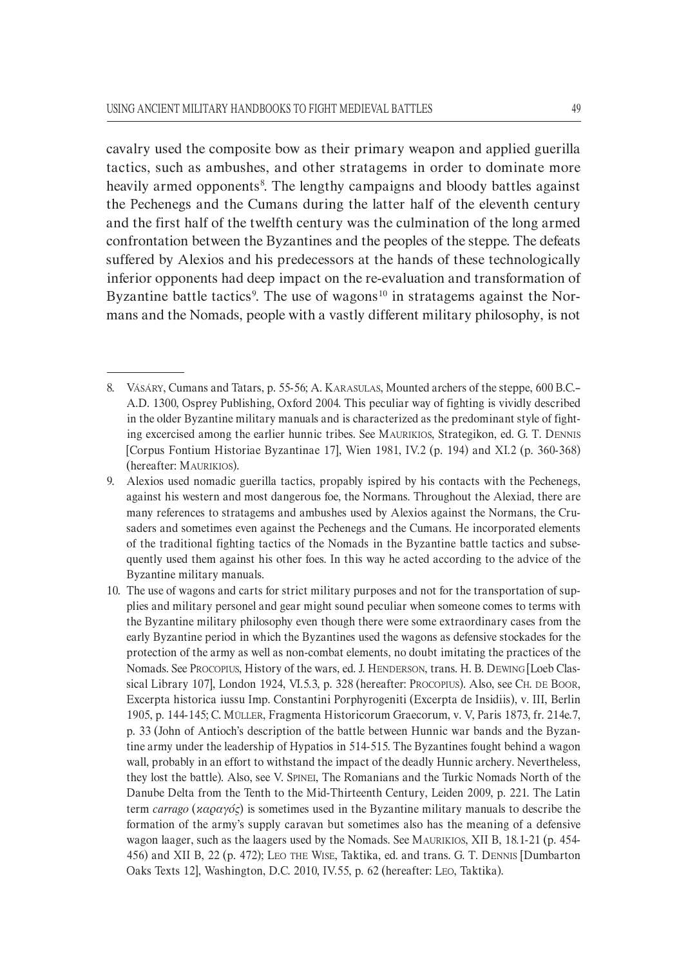cavalry used the composite bow as their primary weapon and applied guerilla tactics, such as ambushes, and other stratagems in order to dominate more heavily armed opponents<sup>8</sup>. The lengthy campaigns and bloody battles against the Pechenegs and the Cumans during the latter half of the eleventh century and the first half of the twelfth century was the culmination of the long armed confrontation between the Byzantines and the peoples of the steppe. The defeats suffered by Alexios and his predecessors at the hands of these technologically inferior opponents had deep impact on the re-evaluation and transformation of Byzantine battle tactics<sup>9</sup>. The use of wagons<sup>10</sup> in stratagems against the Normans and the Nomads, people with a vastly different military philosophy, is not

<sup>8.</sup> VÁSÁRY, Cumans and Tatars, p. 55-56; A. KARASULAS, Mounted archers of the steppe, 600 B.C.– A.D. 1300, Osprey Publishing, Oxford 2004. This peculiar way of fighting is vividly described in the older Byzantine military manuals and is characterized as the predominant style of fighting excercised among the earlier hunnic tribes. See MAURIKIOS, Strategikon, ed. G. T. DENNIS [Corpus Fontium Historiae Byzantinae 17], Wien  $1981$ , IV.2 (p. 194) and XI.2 (p. 360-368) (hereafter: MAURIKIOS).

<sup>9.</sup> Alexios used nomadic guerilla tactics, propably ispired by his contacts with the Pechenegs, against his western and most dangerous foe, the Normans. Throughout the Alexiad, there are many references to stratagems and ambushes used by Alexios against the Normans, the Cru` saders and sometimes even against the Pechenegs and the Cumans. He incorporated elements of the traditional fighting tactics of the Nomads in the Byzantine battle tactics and subse` quently used them against his other foes. In this way he acted according to the advice of the Byzantine military manuals.

<sup>10.</sup> The use of wagons and carts for strict military purposes and not for the transportation of sup` plies and military personel and gear might sound peculiar when someone comes to terms with the Byzantine military philosophy even though there were some extraordinary cases from the early Byzantine period in which the Byzantines used the wagons as defensive stockades for the protection of the army as well as non-combat elements, no doubt imitating the practices of the Nomads. See PROCOPIUS, History of the wars, ed. J. HENDERSON, trans. H. B. DEWING [Loeb Clas` sical Library 107], London 1924, VI.5.3, p. 328 (hereafter: PROCOPIUS). Also, see CH. DE BOOR, Excerpta historica iussu Imp. Constantini Porphyrogeniti (Excerpta de Insidiis), v. III, Berlin 1905, p. 144-145; C. MÜLLER, Fragmenta Historicorum Graecorum, v. V, Paris 1873, fr. 214e.7, p. 33 (John of Antioch's description of the battle between Hunnic war bands and the Byzan` tine army under the leadership of Hypatios in 514-515. The Byzantines fought behind a wagon wall, probably in an effort to withstand the impact of the deadly Hunnic archery. Nevertheless, they lost the battle). Also, see V. SPINEI, The Romanians and the Turkic Nomads North of the Danube Delta from the Tenth to the Mid-Thirteenth Century, Leiden 2009, p. 221. The Latin term *carrago* (*καραγός*) is sometimes used in the Byzantine military manuals to describe the formation of the army's supply caravan but sometimes also has the meaning of a defensive wagon laager, such as the laagers used by the Nomads. See MAURIKIOS, XII B, 18.1-21 (p. 454-456) and ΧΙΙ B, 22 (p. 472); LEO THE WISE, Taktika, ed. and trans. G. T. DENNIS [Dumbarton Oaks Texts 12], Washington, D.C. 2010, IV.55, p. 62 (hereafter: LEO, Taktika).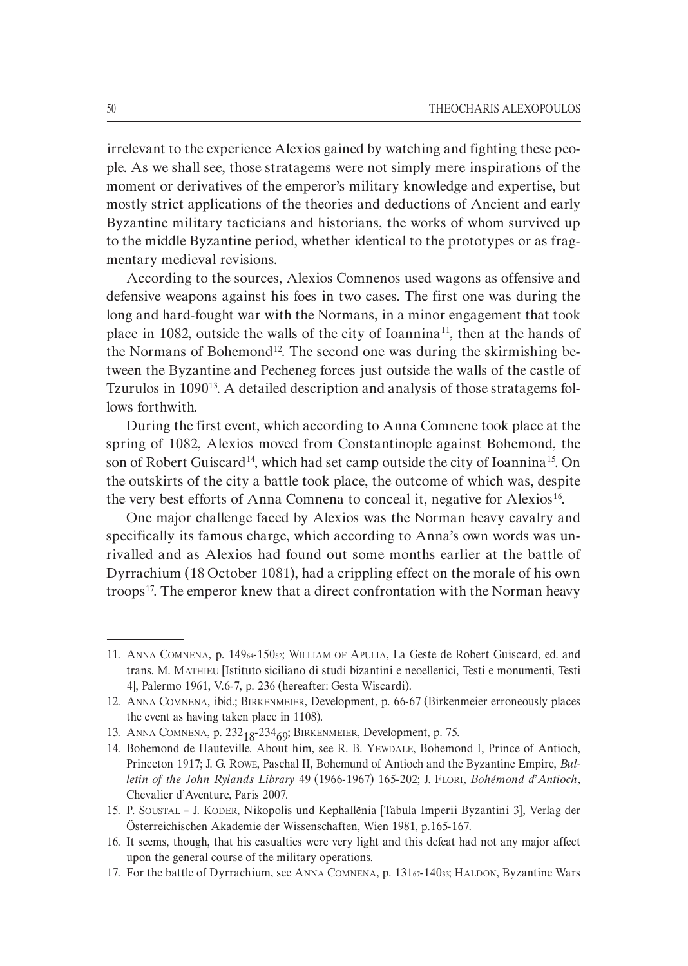irrelevant to the experience Alexios gained by watching and fighting these people. As we shall see, those stratagems were not simply mere inspirations of the moment or derivatives of the emperor's military knowledge and expertise, but mostly strict applications of the theories and deductions of Ancient and early Byzantine military tacticians and historians, the works of whom survived up to the middle Byzantine period, whether identical to the prototypes or as frag` mentary medieval revisions.

According to the sources, Alexios Comnenos used wagons as offensive and defensive weapons against his foes in two cases. The first one was during the long and hard-fought war with the Normans, in a minor engagement that took place in 1082, outside the walls of the city of Ioannina<sup>11</sup>, then at the hands of the Normans of Bohemond<sup>12</sup>. The second one was during the skirmishing between the Byzantine and Pecheneg forces just outside the walls of the castle of Tzurulos in 1090<sup>13</sup>. A detailed description and analysis of those stratagems follows forthwith.

During the first event, which according to Anna Comnene took place at the spring of 1082, Alexios moved from Constantinople against Bohemond, the son of Robert Guiscard<sup>14</sup>, which had set camp outside the city of Ioannina<sup>15</sup>. On the outskirts of the city a battle took place, the outcome of which was, despite the very best efforts of Anna Comnena to conceal it, negative for Alexios<sup>16</sup>.

One major challenge faced by Alexios was the Norman heavy cavalry and specifically its famous charge, which according to Anna's own words was un` rivalled and as Alexios had found out some months earlier at the battle of Dyrrachium (18 October 1081), had a crippling effect on the morale of his own troops<sup>17</sup>. The emperor knew that a direct confrontation with the Norman heavy

<sup>11.</sup> ANNA COMNENA, p. 14964`15082; WILLIAM OF APULIA, La Geste de Robert Guiscard, ed. and trans. M. MATHIEU [Istituto siciliano di studi bizantini e neoellenici, Testi e monumenti, Testi 4], Palermo 1961, V.6`7, p. 236 (hereafter: Gesta Wiscardi).

<sup>12.</sup> ANNA COMNENA, ibid.; BIRKENMEIER, Development, p. 66-67 (Birkenmeier erroneously places the event as having taken place in 1108).

<sup>13.</sup> ANNA COMNENA, p.  $232_{18}$ - $234_{69}$ ; BIRKENMEIER, Development, p. 75.

<sup>14.</sup> Bohemond de Hauteville. About him, see R. B. YEWDALE, Bohemond I, Prince of Antioch, Princeton 1917; J. G. Rowe, Paschal II, Bohemund of Antioch and the Byzantine Empire, *Bulletin of the John Rylands Library* 49 (1966`1967) 165`202; J. FLORI*, Bohémond d*'*Antioch,* Chevalier d'Aventure, Paris 2007.

<sup>15.</sup> P. SOUSTAL – J. KODER, Nikopolis und Kephallēnia [Tabula Imperii Byzantini 3]*,* Verlag der Österreichischen Akademie der Wissenschaften, Wien 1981, p.165-167.

<sup>16.</sup> It seems, though, that his casualties were very light and this defeat had not any major affect upon the general course of the military operations.

<sup>17.</sup> For the battle of Dyrrachium, see ANNA COMNENA, p. 13167-14033; HALDON, Byzantine Wars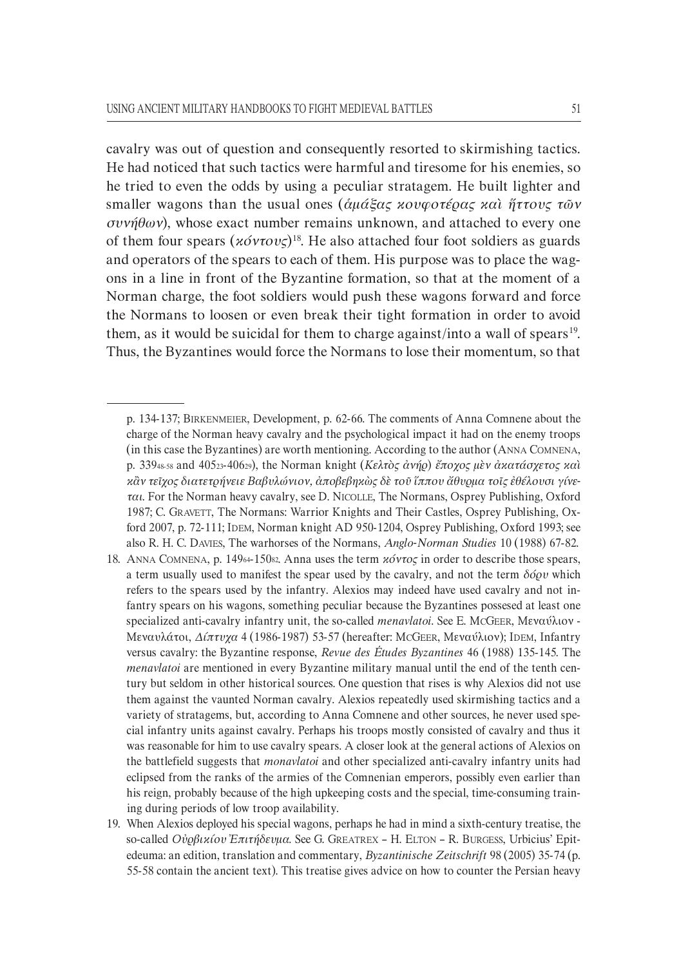cavalry was out of question and consequently resorted to skirmishing tactics. He had noticed that such tactics were harmful and tiresome for his enemies, so he tried to even the odds by using a peculiar stratagem. He built lighter and smaller wagons than the usual ones (*ἁµάξας κουφοτέρας καὶ ἥττους τῶν συνήθων*), whose exact number remains unknown, and attached to every one of them four spears (*κόντους*)18 . He also attached four foot soldiers as guards and operators of the spears to each of them. His purpose was to place the wagons in a line in front of the Byzantine formation, so that at the moment of a Norman charge, the foot soldiers would push these wagons forward and force the Normans to loosen or even break their tight formation in order to avoid them, as it would be suicidal for them to charge against/into a wall of spears<sup>19</sup>. Thus, the Byzantines would force the Normans to lose their momentum, so that

p. 134-137; BIRKENMEIER, Development, p. 62-66. The comments of Anna Comnene about the charge of the Norman heavy cavalry and the psychological impact it had on the enemy troops (in this case the Byzantines) are worth mentioning. According to the author (ANNA COMNENA, p. 33948`58 and 40523`40629), the Norman knight (*Κελτὸς ἀνήρ*) *ἔποχος µὲν ἀκατάσχετος καὶ κἂν τεῖχος διατετρήνειε Βαβυλώνιον, ἀποβεβηκὼς δὲ τοῦ ἵππου ἄθυρµα τοῖς ἐθέλουσι γίνεH ται*. For the Norman heavy cavalry, see D. NICOLLE, The Normans, Osprey Publishing, Oxford 1987; C. GRAVETT, The Normans: Warrior Knights and Their Castles, Osprey Publishing, Ox` ford 2007, p. 72-111; IDEM, Norman knight AD 950-1204, Osprey Publishing, Oxford 1993; see also R. H. C. DAVIES, The warhorses of the Normans, *Anglo-Norman Studies* 10 (1988) 67-82.

<sup>18.</sup> ANNA COMNENA, p. 149<sub>64</sub>-150<sub>82</sub>. Anna uses the term *κόντος* in order to describe those spears, a term usually used to manifest the spear used by the cavalry, and not the term *δόρυ* which refers to the spears used by the infantry. Alexios may indeed have used cavalry and not in` fantry spears on his wagons, something peculiar because the Byzantines possesed at least one specialized anti-cavalry infantry unit, the so-called *menavlatoi*. See E. McGEER, Μεναύλιον -Μεναυλάτοι, *∆ίπτυχα* 4 (1986`1987) 53`57 (hereafter: MCGEER, Μεναύλιον); IDEM, Infantry versus cavalry: the Byzantine response, *Revue des Études Byzantines* 46 (1988) 135`145. The *menavlatoi* are mentioned in every Byzantine military manual until the end of the tenth century but seldom in other historical sources. One question that rises is why Alexios did not use them against the vaunted Norman cavalry. Alexios repeatedly used skirmishing tactics and a variety of stratagems, but, according to Anna Comnene and other sources, he never used spe` cial infantry units against cavalry. Perhaps his troops mostly consisted of cavalry and thus it was reasonable for him to use cavalry spears. A closer look at the general actions of Alexios on the battlefield suggests that *monavlatoi* and other specialized anti-cavalry infantry units had eclipsed from the ranks of the armies of the Comnenian emperors, possibly even earlier than his reign, probably because of the high upkeeping costs and the special, time-consuming training during periods of low troop availability.

<sup>19.</sup> When Alexios deployed his special wagons, perhaps he had in mind a sixth-century treatise, the so`called *Οὐρβικίου Ἐπιτήδευµα*. See G. GREATREX – H. ELTON – R. BURGESS, Urbicius' Epit` edeuma: an edition, translation and commentary, *Byzantinische Zeitschrift* 98 (2005) 35-74 (p. 55-58 contain the ancient text). This treatise gives advice on how to counter the Persian heavy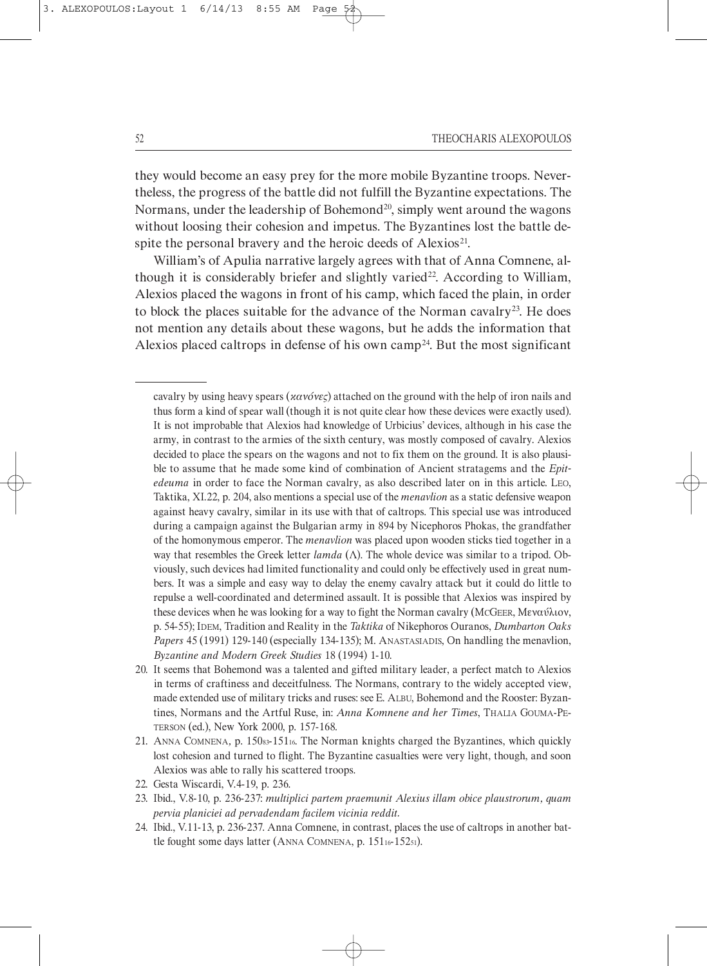3. ALEXOPOULOS: Layout 1 6/14/13 8:55

they would become an easy prey for the more mobile Byzantine troops. Never` theless, the progress of the battle did not fulfill the Byzantine expectations. The Normans, under the leadership of Bohemond<sup>20</sup>, simply went around the wagons without loosing their cohesion and impetus. The Byzantines lost the battle despite the personal bravery and the heroic deeds of  $Alexios<sup>21</sup>$ .

William's of Apulia narrative largely agrees with that of Anna Comnene, although it is considerably briefer and slightly varied<sup>22</sup>. According to William, Alexios placed the wagons in front of his camp, which faced the plain, in order to block the places suitable for the advance of the Norman cavalry<sup>23</sup>. He does not mention any details about these wagons, but he adds the information that Alexios placed caltrops in defense of his own camp<sup>24</sup>. But the most significant

cavalry by using heavy spears (*κανόνες*) attached on the ground with the help of iron nails and thus form a kind of spear wall (though it is not quite clear how these devices were exactly used). It is not improbable that Alexios had knowledge of Urbicius' devices, although in his case the army, in contrast to the armies of the sixth century, was mostly composed of cavalry. Alexios decided to place the spears on the wagons and not to fix them on the ground. It is also plausible to assume that he made some kind of combination of Ancient stratagems and the *Epitedeuma* in order to face the Norman cavalry, as also described later on in this article. LEO, Taktika, XI.22, p. 204, also mentions a special use of the *menavlion* as a static defensive weapon against heavy cavalry, similar in its use with that of caltrops. This special use was introduced during a campaign against the Bulgarian army in 894 by Nicephoros Phokas, the grandfather of the homonymous emperor. The *menavlion* was placed upon wooden sticks tied together in a way that resembles the Greek letter *lamda* (Λ). The whole device was similar to a tripod. Obviously, such devices had limited functionality and could only be effectively used in great num` bers. It was a simple and easy way to delay the enemy cavalry attack but it could do little to repulse a well-coordinated and determined assault. It is possible that Alexios was inspired by these devices when he was looking for a way to fight the Norman cavalry (MCGEER, Μεναύλιον, p. 54`55); IDEM, Tradition and Reality in the *Taktika* of Nikephoros Ouranos, *Dumbarton Oaks* Papers 45 (1991) 129-140 (especially 134-135); M. ANASTASIADIS, On handling the menavlion, *Byzantine and Modern Greek Studies* 18 (1994) 1`10.

<sup>20.</sup> It seems that Bohemond was a talented and gifted military leader, a perfect match to Alexios in terms of craftiness and deceitfulness. The Normans, contrary to the widely accepted view, made extended use of military tricks and ruses: see E. ALBU, Bohemond and the Rooster: Byzantines, Normans and the Artful Ruse, in: *Anna Komnene and her Times*, THALIA GOUMA-PE-TERSON (ed.), New York 2000, p. 157-168.

<sup>21.</sup> ANNA COMNENA, p. 15083-15116. The Norman knights charged the Byzantines, which quickly lost cohesion and turned to flight. The Byzantine casualties were very light, though, and soon Alexios was able to rally his scattered troops.

<sup>22.</sup> Gesta Wiscardi, V.4`19, p. 236.

<sup>23.</sup> Ibid., V.8`10, p. 236`237: *multiplici partem praemunit Alexius illam obice plaustrorum, quam pervia planiciei ad pervadendam facilem vicinia reddit.*

<sup>24.</sup> Ibid., V.11-13, p. 236-237. Anna Comnene, in contrast, places the use of caltrops in another battle fought some days latter (ANNA COMNENA, p. 15116-15251).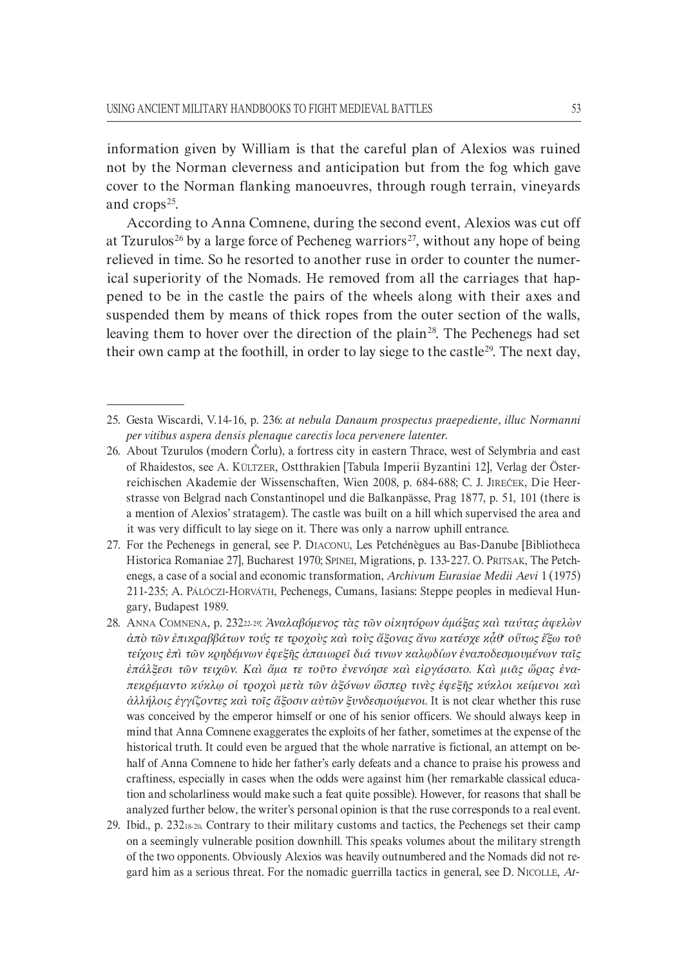information given by William is that the careful plan of Alexios was ruined not by the Norman cleverness and anticipation but from the fog which gave cover to the Norman flanking manoeuvres, through rough terrain, vineyards and crops<sup>25</sup>.

According to Anna Comnene, during the second event, Alexios was cut off at Tzurulos<sup>26</sup> by a large force of Pecheneg warriors<sup>27</sup>, without any hope of being relieved in time. So he resorted to another ruse in order to counter the numer` ical superiority of the Nomads. He removed from all the carriages that hap` pened to be in the castle the pairs of the wheels along with their axes and suspended them by means of thick ropes from the outer section of the walls, leaving them to hover over the direction of the plain<sup>28</sup>. The Pechenegs had set their own camp at the foothill, in order to lay siege to the castle<sup>29</sup>. The next day,

<sup>25.</sup> Gesta Wiscardi, V.14`16, p. 236: *at nebula Danaum prospectus praepediente, illuc Normanni per vitibus aspera densis plenaque carectis loca pervenere latenter.*

<sup>26.</sup> About Tzurulos (modern Čorlu), a fortress city in eastern Thrace, west of Selymbria and east of Rhaidestos, see A. KÜLTZER, Ostthrakien [Tabula Imperii Byzantini 12], Verlag der Öster` reichischen Akademie der Wissenschaften, Wien 2008, p. 684-688; C. J. JIREČEK, Die Heerstrasse von Belgrad nach Constantinopel und die Balkanpässe, Prag 1877, p. 51, 101 (there is a mention of Alexios' stratagem). The castle was built on a hill which supervised the area and it was very difficult to lay siege on it. There was only a narrow uphill entrance.

<sup>27.</sup> For the Pechenegs in general, see P. DIACONU, Les Petchénègues au Bas-Danube [Bibliotheca] Historica Romaniae 27], Bucharest 1970; SPINEI, Migrations, p. 133-227. O. PRITSAK, The Petchenegs, a case of a social and economic transformation, *Archivum Eurasiae Medii Aevi* 1 (1975) 211-235; A. PÁLÓCZI-HORVÁTH, Pechenegs, Cumans, Iasians: Steppe peoples in medieval Hungary, Budapest 1989.

<sup>28.</sup> ANNA COMNENA, p. 23222`29: *Ἀναλαβόµενος τὰς τῶν οἰκητόρων ἁµάξας καὶ ταύτας ἀφελὼν ἀπὸ τῶν ἐπικραββάτων τούς τε τροχοὺς καὶ τοὺς ἄξονας ἄνω κατέσχε κᾆθ' οὕτως ἔξω τοῦ τείχους ἐπὶ τῶν κρηδέµνων ἐφεξῆς ἀπαιωρεῖ διά τινων καλῳδίων ἐναποδεσµουµένων ταῖς ἐπάλξεσι τῶν τειχῶν. Καὶ ἅµα τε τοῦτο ἐνενόησε καὶ εἰργάσατο. Καὶ µιᾶς ὥρας ἐναH πεκρέµαντο κύκλῳ οἱ τροχοὶ µετὰ τῶν ἀξόνων ὥσπερ τινὲς ἐφεξῆς κύκλοι κείµενοι καὶ ἀλλήλοις ἐγγίζοντες καὶ τοῖς ἄξοσιν αὐτῶν ξυνδεσµούµενοι*. It is not clear whether this ruse was conceived by the emperor himself or one of his senior officers. We should always keep in mind that Anna Comnene exaggerates the exploits of her father, sometimes at the expense of the historical truth. It could even be argued that the whole narrative is fictional, an attempt on behalf of Anna Comnene to hide her father's early defeats and a chance to praise his prowess and craftiness, especially in cases when the odds were against him (her remarkable classical educa` tion and scholarliness would make such a feat quite possible). However, for reasons that shall be analyzed further below, the writer's personal opinion is that the ruse corresponds to a real event.

<sup>29.</sup> Ibid., p.  $232_{18\cdot20}$ . Contrary to their military customs and tactics, the Pechenegs set their camp on a seemingly vulnerable position downhill. This speaks volumes about the military strength of the two opponents. Obviously Alexios was heavily outnumbered and the Nomads did not re` gard him as a serious threat. For the nomadic guerrilla tactics in general, see D. NICOLLE, *At*-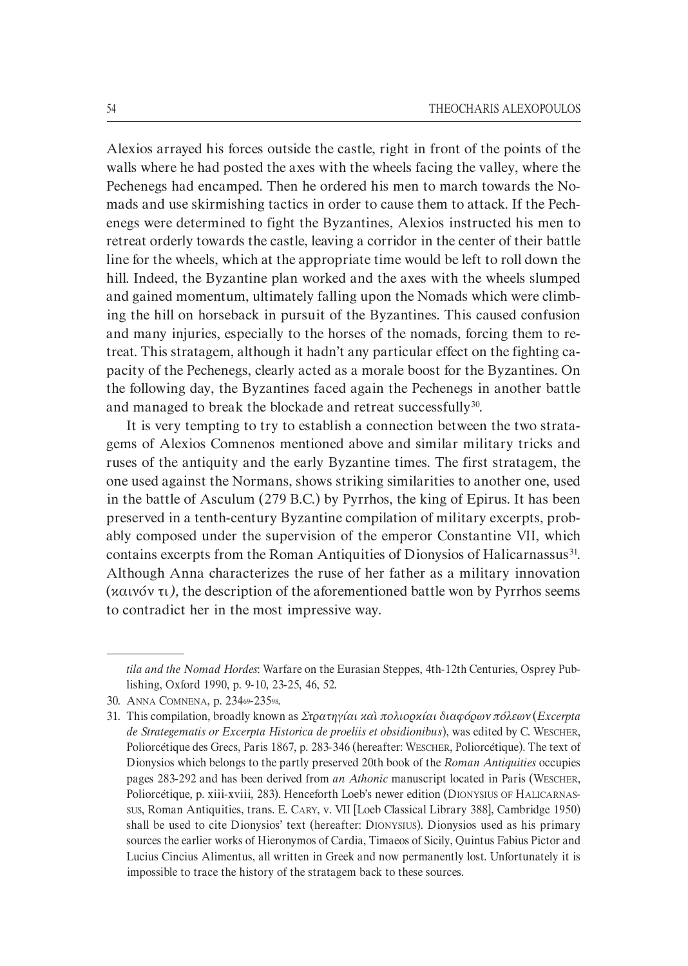Alexios arrayed his forces outside the castle, right in front of the points of the walls where he had posted the axes with the wheels facing the valley, where the Pechenegs had encamped. Then he ordered his men to march towards the Nomads and use skirmishing tactics in order to cause them to attack. If the Pechenegs were determined to fight the Byzantines, Alexios instructed his men to retreat orderly towards the castle, leaving a corridor in the center of their battle line for the wheels, which at the appropriate time would be left to roll down the hill. Indeed, the Byzantine plan worked and the axes with the wheels slumped and gained momentum, ultimately falling upon the Nomads which were climb` ing the hill on horseback in pursuit of the Byzantines. This caused confusion and many injuries, especially to the horses of the nomads, forcing them to retreat. This stratagem, although it hadn't any particular effect on the fighting ca` pacity of the Pechenegs, clearly acted as a morale boost for the Byzantines. On the following day, the Byzantines faced again the Pechenegs in another battle and managed to break the blockade and retreat successfully<sup>30</sup>.

It is very tempting to try to establish a connection between the two stratagems of Alexios Comnenos mentioned above and similar military tricks and ruses of the antiquity and the early Byzantine times. The first stratagem, the one used against the Normans, shows striking similarities to another one, used in the battle of Asculum (279 B.C.) by Pyrrhos, the king of Epirus. It has been preserved in a tenth-century Byzantine compilation of military excerpts, probably composed under the supervision of the emperor Constantine VII, which contains excerpts from the Roman Antiquities of Dionysios of Halicarnassus<sup>31</sup>. Although Anna characterizes the ruse of her father as a military innovation (καινόν τι*),* the description of the aforementioned battle won by Pyrrhos seems to contradict her in the most impressive way.

*tila* and the Nomad Hordes: Warfare on the Eurasian Steppes, 4th-12th Centuries, Osprey Publishing, Oxford 1990, p. 9-10, 23-25, 46, 52.

<sup>30.</sup> ANNA COMNENA, p. 23469-23598.

<sup>31.</sup> This compilation, broadly known as *Στρατηγίαι καὶ πολιορκίαι διαφόρων πόλεων* (*Excerpta de Strategematis or Excerpta Historica de proeliis et obsidionibus*), was edited by C. WESCHER, Poliorcétique des Grecs, Paris 1867, p. 283-346 (hereafter: WESCHER, Poliorcétique). The text of Dionysios which belongs to the partly preserved 20th book of the *Roman Antiquities* occupies pages 283-292 and has been derived from *an Athonic* manuscript located in Paris (WESCHER, Poliorcétique, p. xiii-xviii, 283). Henceforth Loeb's newer edition (DIONYSIUS OF HALICARNAS-SUS, Roman Antiquities, trans. E. CARY, v. VII [Loeb Classical Library 388], Cambridge 1950) shall be used to cite Dionysios' text (hereafter: DIONYSIUS). Dionysios used as his primary sources the earlier works of Hieronymos of Cardia, Timaeos of Sicily, Quintus Fabius Pictor and Lucius Cincius Alimentus, all written in Greek and now permanently lost. Unfortunately it is impossible to trace the history of the stratagem back to these sources.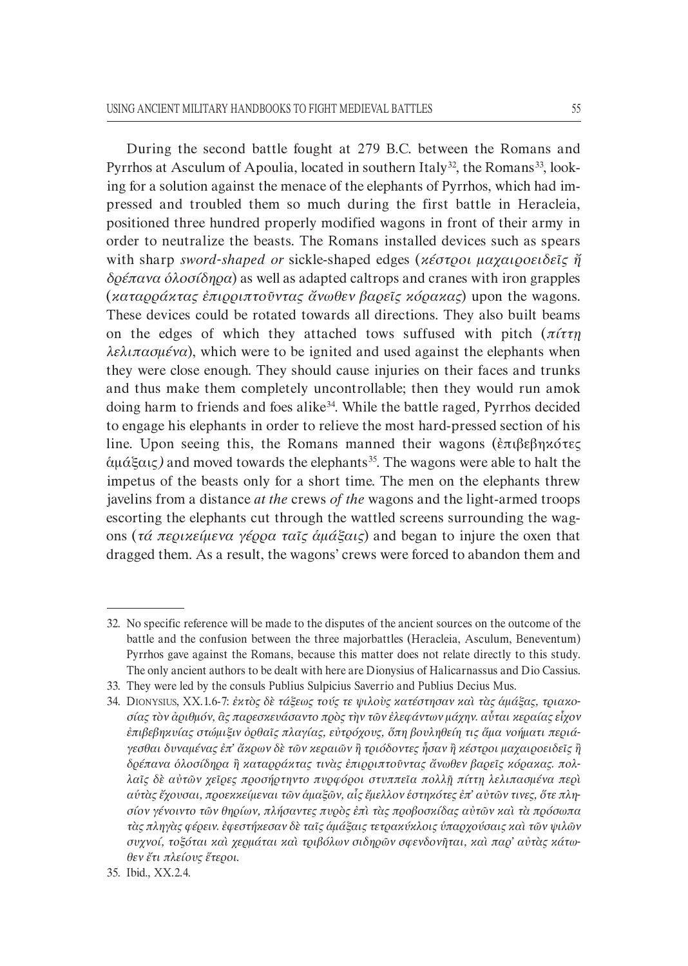During the second battle fought at 279 B.C. between the Romans and Pyrrhos at Asculum of Apoulia, located in southern Italy<sup>32</sup>, the Romans<sup>33</sup>, looking for a solution against the menace of the elephants of Pyrrhos, which had impressed and troubled them so much during the first battle in Heracleia, positioned three hundred properly modified wagons in front of their army in order to neutralize the beasts. The Romans installed devices such as spears with sharp *swordHshaped or* sickle`shaped edges (*κέστροι µαχαιροειδεῖς ἤ δρέπανα ὁλοσίδηρα*) as well as adapted caltrops and cranes with iron grapples (*καταρράκτας ἐπιρριπτοῦντας ἄνωθεν βαρεῖς κόρακας*) upon the wagons. These devices could be rotated towards all directions. They also built beams on the edges of which they attached tows suffused with pitch (*πίττῃ λελιπασµένα*), which were to be ignited and used against the elephants when they were close enough. They should cause injuries on their faces and trunks and thus make them completely uncontrollable; then they would run amok doing harm to friends and foes alike34 . While the battle raged*,* Pyrrhos decided to engage his elephants in order to relieve the most hard-pressed section of his line. Upon seeing this, the Romans manned their wagons (ἐπιβεβηκότες άμάξαις*)* and moved towards the elephants<sup>35</sup>. The wagons were able to halt the impetus of the beasts only for a short time. The men on the elephants threw javelins from a distance *at the* crews *of the* wagons and the light-armed troops escorting the elephants cut through the wattled screens surrounding the wagons (*τά περικείµενα γέρρα ταῖς ἁµάξαις*) and began to injure the oxen that dragged them. As a result, the wagons' crews were forced to abandon them and

33. They were led by the consuls Publius Sulpicius Saverrio and Publius Decius Mus.

<sup>32.</sup> No specific reference will be made to the disputes of the ancient sources on the outcome of the battle and the confusion between the three majorbattles (Heracleia, Asculum, Beneventum) Pyrrhos gave against the Romans, because this matter does not relate directly to this study. The only ancient authors to be dealt with here are Dionysius of Halicarnassus and Dio Cassius.

<sup>34.</sup> DIONYSIUS, XX.1.6-7: ἐκτὸς δὲ τάξεως τούς τε ψιλοὺς κατέστησαν καὶ τὰς ἁμάξας, τριακο*σίας τὸν ἀριθµόν, ἃς παρεσκευάσαντο πρὸς τὴν τῶν ἐλεφάντων µάχην. αὗται κεραίας εἶχον ἐπιβεβηκυίας στώµιξιν ὀρθαῖς πλαγίας, εὐτρόχους, ὅπη βουληθείη τις ἅµα νοήµατι περιάH γεσθαι δυναµένας ἐπ' ἄκρων δὲ τῶν κεραιῶν ἢ τριόδοντες ἦσαν ἢ κέστροι µαχαιροειδεῖς ἢ δρέπανα ὁλοσίδηρα ἢ καταρράκτας τινὰς ἐπιρριπτοῦντας ἄνωθεν βαρεῖς κόρακας. πολH λαῖς δὲ αὐτῶν χεῖρες προσήρτηντο πυρφόροι στυππεῖα πολλῇ πίττῃ λελιπασµένα περὶ α*ύτὰς ἔχουσαι, προεκκείμεναι τῶν ἁμαξῶν, αἷς ἔμελλον ἑστηκότες ἐπ' αὐτῶν τινες, ὅτε πλη*σίον γένοιντο τῶν θηρίων, πλήσαντες πυρὸς ἐπὶ τὰς προβοσκίδας αὐτῶν καὶ τὰ πρόσωπα τὰς πληγὰς φέρειν. ἐφεστήκεσαν δὲ ταῖς ἁµάξαις τετρακύκλοις ὑπαρχούσαις καὶ τῶν ψιλῶν συχνοί, τοξόται καὶ χερμάται καὶ τριβόλων σιδηρῶν σφενδονῆται, καὶ παρ' αὐτὰς κάτωθεν ἔτι πλείους ἕτεροι*.

<sup>35.</sup> Ibid., XX.2.4.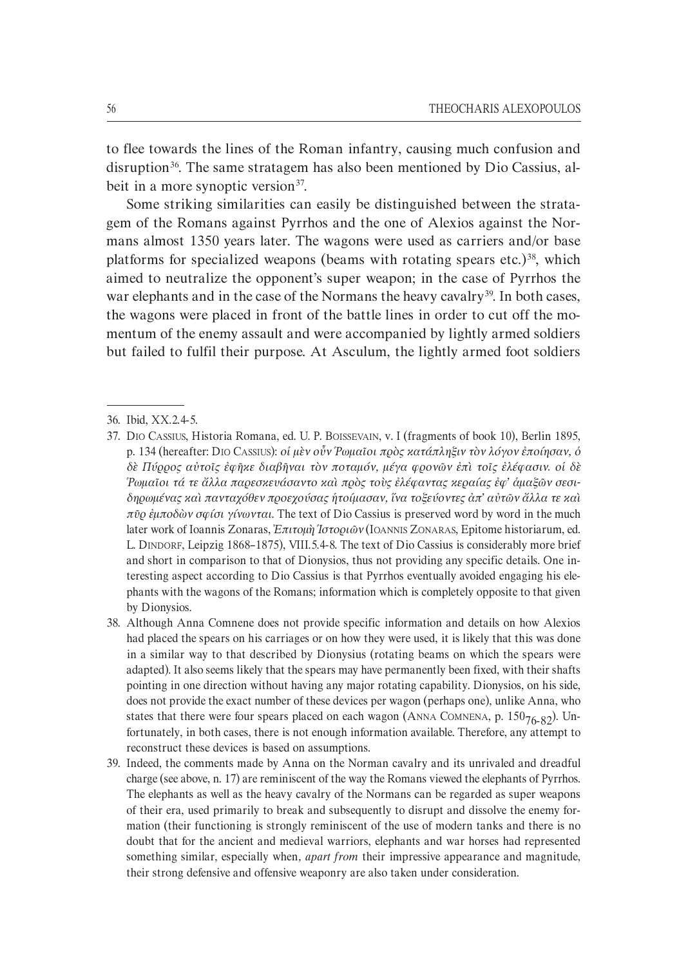to flee towards the lines of the Roman infantry, causing much confusion and disruption<sup>36</sup>. The same stratagem has also been mentioned by Dio Cassius, albeit in a more synoptic version<sup>37</sup>.

Some striking similarities can easily be distinguished between the strata` gem of the Romans against Pyrrhos and the one of Alexios against the Nor` mans almost 1350 years later. The wagons were used as carriers and/or base platforms for specialized weapons (beams with rotating spears etc.)<sup>38</sup>, which aimed to neutralize the opponent's super weapon; in the case of Pyrrhos the war elephants and in the case of the Normans the heavy cavalry<sup>39</sup>. In both cases, the wagons were placed in front of the battle lines in order to cut off the momentum of the enemy assault and were accompanied by lightly armed soldiers but failed to fulfil their purpose. At Asculum, the lightly armed foot soldiers

<sup>36.</sup> Ibid, XX.2.4-5.

<sup>37.</sup> DIO CASSIUS, Historia Romana, ed. U. P. BOISSEVAIN, v. I (fragments of book 10), Berlin 1895, p. 134 (hereafter: DIO CASSIUS): *οἱ µὲν οὖν Ῥωµαῖοι πρὸς κατάπληξιν τὸν λόγον ἐποίησαν, ὁ δὲ Πύρρος αὐτοῖς ἐφῆκε διαβῆναι τὸν ποταµόν, µέγα φρονῶν ἐπὶ τοῖς ἐλέφασιν. οἱ δὲ [*Ρωμαῖοι τά τε ἄλλα παρεσκευάσαντο καὶ πρὸς τοὺς ἐλέφαντας κεραίας ἐφ' ἁμαξῶν σεσι*δηρωµένας καὶ πανταχόθεν προεχούσας ἡτοίµασαν, ἵνα τοξεύοντες ἀπ' αὐτῶν ἄλλα τε καὶ πῦρ ἐµποδὼν σφίσι γίνωνται*. The text of Dio Cassius is preserved word by word in the much later work of Ioannis Zonaras, *Ἐπιτοµὴ Ἱστοριῶν* (IOANNIS ZONARAS, Epitome historiarum, ed. L. DINDORF, Leipzig 1868–1875), VIII.5.4-8. The text of Dio Cassius is considerably more brief and short in comparison to that of Dionysios, thus not providing any specific details. One interesting aspect according to Dio Cassius is that Pyrrhos eventually avoided engaging his ele` phants with the wagons of the Romans; information which is completely opposite to that given by Dionysios.

<sup>38.</sup> Although Anna Comnene does not provide specific information and details on how Alexios had placed the spears on his carriages or on how they were used, it is likely that this was done in a similar way to that described by Dionysius (rotating beams on which the spears were adapted). It also seems likely that the spears may have permanently been fixed, with their shafts pointing in one direction without having any major rotating capability. Dionysios, on his side, does not provide the exact number of these devices per wagon (perhaps one), unlike Anna, who states that there were four spears placed on each wagon (ANNA COMNENA, p.  $150_{76-82}$ ). Unfortunately, in both cases, there is not enough information available. Therefore, any attempt to reconstruct these devices is based on assumptions.

<sup>39.</sup> Indeed, the comments made by Anna on the Norman cavalry and its unrivaled and dreadful charge (see above, n. 17) are reminiscent of the way the Romans viewed the elephants of Pyrrhos. The elephants as well as the heavy cavalry of the Normans can be regarded as super weapons of their era, used primarily to break and subsequently to disrupt and dissolve the enemy for` mation (their functioning is strongly reminiscent of the use of modern tanks and there is no doubt that for the ancient and medieval warriors, elephants and war horses had represented something similar, especially when*, apart from* their impressive appearance and magnitude, their strong defensive and offensive weaponry are also taken under consideration.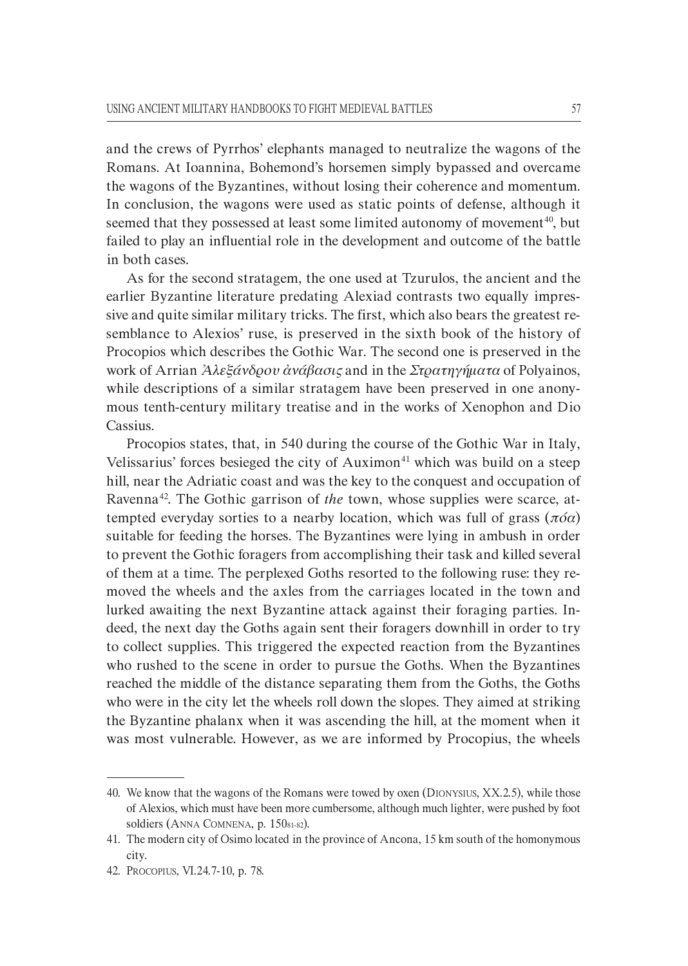and the crews of Pyrrhos' elephants managed to neutralize the wagons of the Romans. At Ioannina, Bohemond's horsemen simply bypassed and overcame the wagons of the Byzantines, without losing their coherence and momentum. In conclusion, the wagons were used as static points of defense, although it seemed that they possessed at least some limited autonomy of movement<sup>40</sup>, but failed to play an influential role in the development and outcome of the battle in both cases.

As for the second stratagem, the one used at Tzurulos, the ancient and the earlier Byzantine literature predating Alexiad contrasts two equally impressive and quite similar military tricks. The first, which also bears the greatest re` semblance to Alexios' ruse, is preserved in the sixth book of the history of Procopios which describes the Gothic War. The second one is preserved in the work of Arrian *Ἀλεξάνδρου ἀνάβασις* and in the *Στρατηγήµατα* of Polyainos, while descriptions of a similar stratagem have been preserved in one anonymous tenth-century military treatise and in the works of Xenophon and Dio Cassius.

Procopios states, that, in 540 during the course of the Gothic War in Italy, Velissarius' forces besieged the city of Auximon<sup>41</sup> which was build on a steep hill, near the Adriatic coast and was the key to the conquest and occupation of Ravenna<sup>42</sup>. The Gothic garrison of *the* town, whose supplies were scarce, attempted everyday sorties to a nearby location, which was full of grass (*πόα*) suitable for feeding the horses. The Byzantines were lying in ambush in order to prevent the Gothic foragers from accomplishing their task and killed several of them at a time. The perplexed Goths resorted to the following ruse: they re` moved the wheels and the axles from the carriages located in the town and lurked awaiting the next Byzantine attack against their foraging parties. In` deed, the next day the Goths again sent their foragers downhill in order to try to collect supplies. This triggered the expected reaction from the Byzantines who rushed to the scene in order to pursue the Goths. When the Byzantines reached the middle of the distance separating them from the Goths, the Goths who were in the city let the wheels roll down the slopes. They aimed at striking the Byzantine phalanx when it was ascending the hill, at the moment when it was most vulnerable. However, as we are informed by Procopius, the wheels

<sup>40.</sup> We know that the wagons of the Romans were towed by oxen (DIONYSIUS, XX.2.5), while those of Alexios, which must have been more cumbersome, although much lighter, were pushed by foot soldiers (ANNA COMNENA, p. 150<sub>81</sub>-82).

<sup>41.</sup> The modern city of Osimo located in the province of Ancona, 15 km south of the homonymous city.

<sup>42.</sup> PROCOPIUS, VI.24.7-10, p. 78.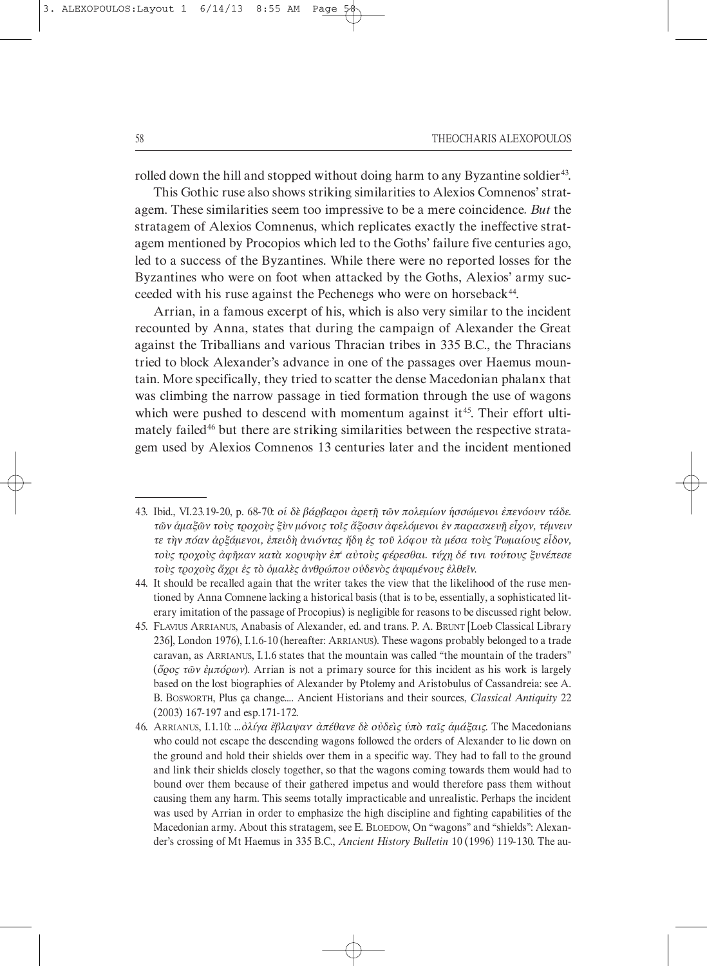rolled down the hill and stopped without doing harm to any Byzantine soldier<sup>43</sup>.

This Gothic ruse also shows striking similarities to Alexios Comnenos' strat` agem. These similarities seem too impressive to be a mere coincidence*. But* the stratagem of Alexios Comnenus, which replicates exactly the ineffective strat` agem mentioned by Procopios which led to the Goths' failure five centuries ago, led to a success of the Byzantines. While there were no reported losses for the Byzantines who were on foot when attacked by the Goths, Alexios' army suc` ceeded with his ruse against the Pechenegs who were on horseback<sup>44</sup>.

Arrian, in a famous excerpt of his, which is also very similar to the incident recounted by Anna, states that during the campaign of Alexander the Great against the Triballians and various Thracian tribes in 335 B.C., the Thracians tried to block Alexander's advance in one of the passages over Haemus moun` tain. More specifically, they tried to scatter the dense Macedonian phalanx that was climbing the narrow passage in tied formation through the use of wagons which were pushed to descend with momentum against it<sup>45</sup>. Their effort ultimately failed<sup>46</sup> but there are striking similarities between the respective stratagem used by Alexios Comnenos 13 centuries later and the incident mentioned

<sup>43.</sup> Ibid., VI.23.19`20, p. 68`70: *οἱ δὲ βάρβαροι ἀρετῇ τῶν πολεµίων ἡσσώµενοι ἐπενόουν τάδε. τῶν ἁµαξῶν τοὺς τροχοὺς ξὺν µόνοις τοῖς ἄξοσιν ἀφελόµενοι ἐν παρασκευῇ εἶχον, τέµνειν τε τὴν πόαν ἀρξάµενοι, ἐπειδὴ ἀνιόντας ἤδη ἐς τοῦ λόφου τὰ µέσα τοὺς Ῥωµαίους εἶδον, τοὺς τροχοὺς ἀφῆκαν κατὰ κορυφὴν ἐπ' αὐτοὺς φέρεσθαι. τύχῃ δέ τινι τούτους ξυνέπεσε τοὺς τροχοὺς ἄχρι ἐς τὸ ὁµαλὲς ἀνθρώπου οὐδενὸς ἁψαµένους ἐλθεῖν*.

<sup>44.</sup> It should be recalled again that the writer takes the view that the likelihood of the ruse men` tioned by Anna Comnene lacking a historical basis (that is to be, essentially, a sophisticated lit` erary imitation of the passage of Procopius) is negligible for reasons to be discussed right below.

<sup>45.</sup> FLAVIUS ARRIANUS, Anabasis of Alexander, ed. and trans. P. A. BRUNT [Loeb Classical Library 236], London 1976), I.1.6`10 (hereafter: ARRIANUS). These wagons probably belonged to a trade caravan, as ARRIANUS, I.1.6 states that the mountain was called "the mountain of the traders" (*ὅρος τῶν ἐµπόρων*). Arrian is not a primary source for this incident as his work is largely based on the lost biographies of Alexander by Ptolemy and Aristobulus of Cassandreia: see A. B. BOSWORTH, Plus ça change…. Ancient Historians and their sources, *Classical Antiquity* 22  $(2003)$  167-197 and esp.171-172.

<sup>46.</sup> ARRIANUS, I.1.10: …*ὀλίγα ἔβλαψαν· ἀπέθανε δὲ οὐδεὶς ὑπὸ ταῖς ἁµάξαις*. The Macedonians who could not escape the descending wagons followed the orders of Alexander to lie down on the ground and hold their shields over them in a specific way. They had to fall to the ground and link their shields closely together, so that the wagons coming towards them would had to bound over them because of their gathered impetus and would therefore pass them without causing them any harm. This seems totally impracticable and unrealistic. Perhaps the incident was used by Arrian in order to emphasize the high discipline and fighting capabilities of the Macedonian army. About this stratagem, see E. BLOEDOW, On "wagons" and "shields": Alexander's crossing of Mt Haemus in 335 B.C., *Ancient History Bulletin* 10 (1996) 119-130. The au-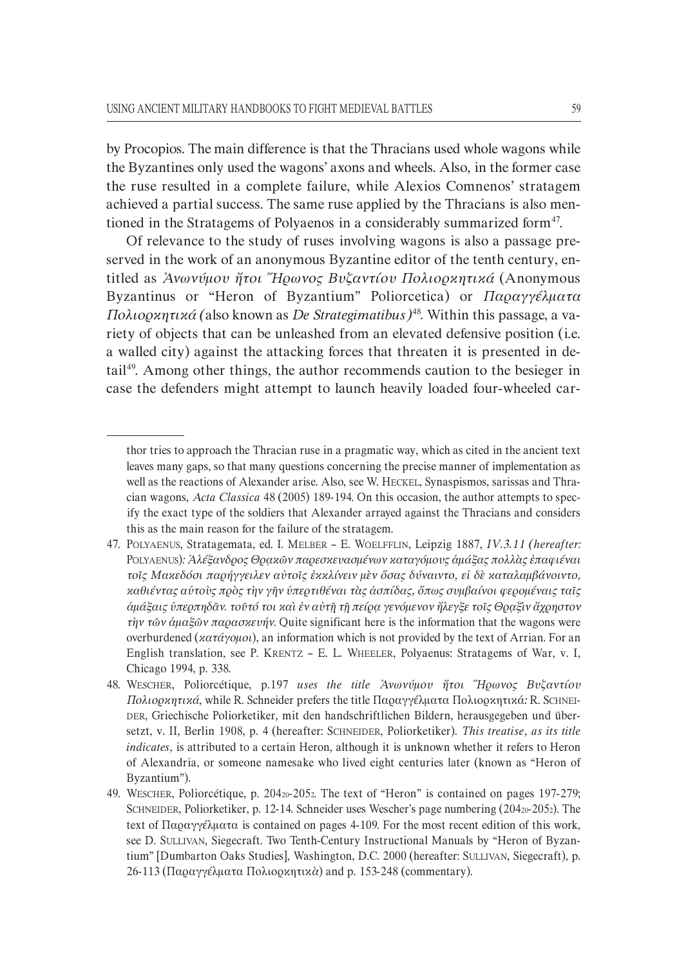by Procopios. The main difference is that the Thracians used whole wagons while the Byzantines only used the wagons' axons and wheels. Also, in the former case the ruse resulted in a complete failure, while Alexios Comnenos' stratagem achieved a partial success. The same ruse applied by the Thracians is also men` tioned in the Stratagems of Polyaenos in a considerably summarized form<sup>47</sup>.

Of relevance to the study of ruses involving wagons is also a passage pre` served in the work of an anonymous Byzantine editor of the tenth century, en` titled as *Ἀνωνύµου ἤτοι Ἥρωνος Βυζαντίου Πολιορκητικά* (Anonymous Byzantinus or "Heron of Byzantium" Poliorcetica) or *Παραγγέλµατα Πολιορκητικά (*also known as *De Strategimatibus)*<sup>48</sup> *.* Within this passage, a va` riety of objects that can be unleashed from an elevated defensive position (i.e. a walled city) against the attacking forces that threaten it is presented in de` tail 49 . Among other things, the author recommends caution to the besieger in case the defenders might attempt to launch heavily loaded four-wheeled car-

thor tries to approach the Thracian ruse in a pragmatic way, which as cited in the ancient text leaves many gaps, so that many questions concerning the precise manner of implementation as well as the reactions of Alexander arise. Also, see W. HECKEL, Synaspismos, sarissas and Thra` cian wagons, *Acta Classica* 48 (2005) 189-194. On this occasion, the author attempts to specify the exact type of the soldiers that Alexander arrayed against the Thracians and considers this as the main reason for the failure of the stratagem.

<sup>47.</sup> POLYAENUS, Stratagemata, ed. I. MELBER – E. WOELFFLIN, Leipzig 1887, *IV.3.11 (hereafter:* POLYAENUS)*: Ἀλέξανδρος Θρᾳκῶν παρεσκευασµένων καταγόµους ἁµάξας πολλὰς ἐπαφιέναι τοῖς Μακεδόσι παρήγγειλεν αὐτοῖς ἐκκλίνειν µὲν ὅσας δύναιντο, εἰ δὲ καταλαµβάνοιντο, καθιέντας αὑτοὺς πρὸς τὴν γῆν ὑπερτιθέναι τὰς ἀσπίδας, ὅπως συµβαίνοι φεροµέναις ταῖς ἁµάξαις ὑπερπηδᾶν. τοῦτό τοι καὶ ἐν αὐτῇ τῇ πείρᾳ γενόµενον ἤλεγξε τοῖς Θρᾳξὶν ἄχρηστον τὴν τῶν ἁµαξῶν παρασκευήν*. Quite significant here is the information that the wagons were overburdened (*κατάγοµοι*), an information which is not provided by the text of Arrian. For an English translation, see P. KRENTZ – E. L. WHEELER, Polyaenus: Stratagems of War, v. I, Chicago 1994, p. 338.

<sup>48.</sup> WESCHER, Poliorcétique, p.197 *uses the title Ἀνωνύµου ἤτοι Ἥρωνος Βυζαντίου Πολιορκητικά*, while R. Schneider prefers the title Παραγγέλµατα Πολιορκητικά*:* R. SCHNEI` DER, Griechische Poliorketiker, mit den handschriftlichen Bildern, herausgegeben und über` setzt, v. II, Berlin 1908, p. 4 (hereafter: SCHNEIDER, Poliorketiker). *This treatise, as its title indicates,* is attributed to a certain Heron, although it is unknown whether it refers to Heron of Alexandria, or someone namesake who lived eight centuries later (known as "Heron of Byzantium")*.*

<sup>49.</sup> WESCHER, Poliorcétique, p. 204<sub>20</sub>-205<sub>2</sub>. The text of "Heron" is contained on pages 197-279; SCHNEIDER, Poliorketiker, p. 12-14. Schneider uses Wescher's page numbering (20420-2052). The text of Παραγγέλματα is contained on pages 4-109. For the most recent edition of this work, see D. SULLIVAN, Siegecraft. Two Tenth-Century Instructional Manuals by "Heron of Byzantium" [Dumbarton Oaks Studies], Washington, D.C. 2000 (hereafter: SULLIVAN, Siegecraft), p. 26-113 (Παραγγέλματα Πολιορκητικ*ὰ*) and p. 153-248 (commentary).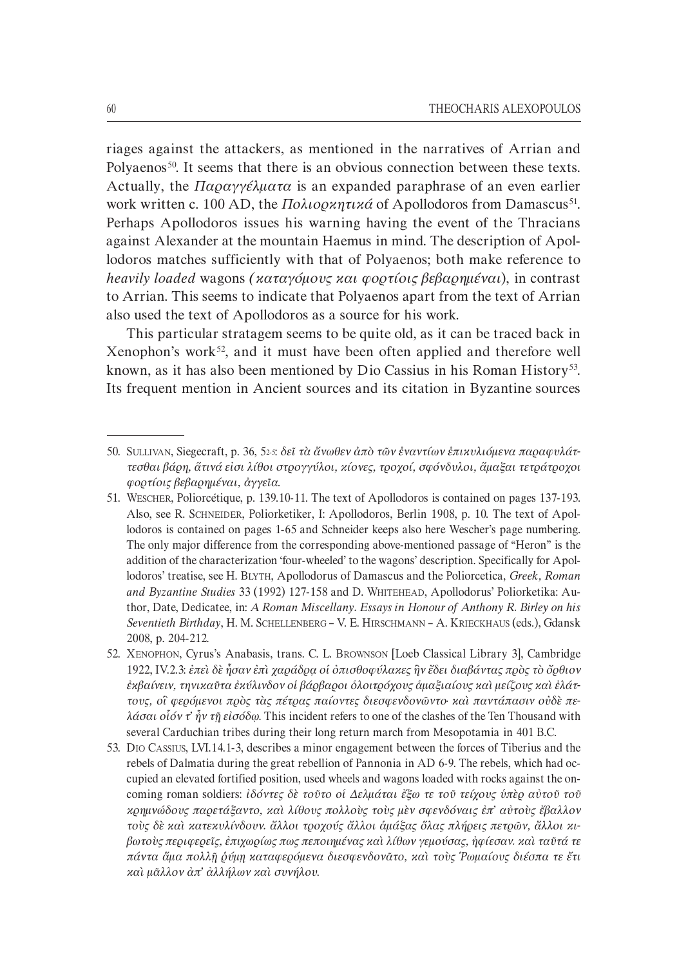riages against the attackers, as mentioned in the narratives of Arrian and Polyaenos<sup>50</sup>. It seems that there is an obvious connection between these texts. Actually, the *Παραγγέλµατα* is an expanded paraphrase of an even earlier work written c. 100 AD, the *Πολιορκητικά* of Apollodoros from Damascus<sup>51</sup>. Perhaps Apollodoros issues his warning having the event of the Thracians against Alexander at the mountain Haemus in mind. The description of Apol` lodoros matches sufficiently with that of Polyaenos; both make reference to *heavily loaded* wagons *(καταγόµους και φορτίοις βεβαρηµέναι*), in contrast to Arrian. This seems to indicate that Polyaenos apart from the text of Arrian also used the text of Apollodoros as a source for his work.

This particular stratagem seems to be quite old, as it can be traced back in Xenophon's work<sup>52</sup>, and it must have been often applied and therefore well known, as it has also been mentioned by Dio Cassius in his Roman History<sup>53</sup>. Its frequent mention in Ancient sources and its citation in Byzantine sources

<sup>50.</sup> SULLIVAN, Siegecraft, p. 36, 52·5: δεῖ τὰ ἄνωθεν ἀπὸ τῶν ἐναντίων ἐπικυλιόμενα παραφυλάτ*τεσθαι βάρη, ἅτινά εἰσι λίθοι στρογγύλοι, κίονες, τροχοί, σφόνδυλοι, ἅµαξαι τετράτροχοι φορτίοις βεβαρηµέναι, ἀγγεῖα*.

<sup>51.</sup> WESCHER, Poliorcétique, p. 139.10-11. The text of Apollodoros is contained on pages 137-193. Also, see R. SCHNEIDER, Poliorketiker, I: Apollodoros, Berlin 1908, p. 10. The text of Apol` lodoros is contained on pages 1-65 and Schneider keeps also here Wescher's page numbering. The only major difference from the corresponding above-mentioned passage of "Heron" is the addition of the characterization 'four-wheeled' to the wagons' description. Specifically for Apollodoros' treatise, see H. BLYTH, Apollodorus of Damascus and the Poliorcetica, *Greek, Roman* and *Byzantine Studies* 33 (1992) 127-158 and D. WHITEHEAD, Apollodorus' Poliorketika: Author, Date, Dedicatee, in: *A Roman Miscellany. Essays in Honour of Anthony R. Birley on his Seventieth Birthday*, H. M. SCHELLENBERG – V. E. HIRSCHMANN – A. KRIECKHAUS (eds.), Gdansk 2008, p. 204-212.

<sup>52.</sup> XENOPHON, Cyrus's Anabasis, trans. C. L. BROWNSON [Loeb Classical Library 3], Cambridge 1922, IV.2.3: *ἐπεὶ δὲ ἦσαν ἐπὶ χαράδρᾳ οἱ ὀπισθοφύλακες ἣν ἔδει διαβάντας πρὸς τὸ ὄρθιον ἔκβαίνειν, τηνικαῦτα ἐκύλινδον οἱ βάρβαροι ὁλοιτρόχους ἁµαξιαίους καὶ μείζους καὶ ἐλάτ-* $\tau$ *τους, οἳ φερόμενοι πρὸς τὰς πέτρας παίοντες διεσφενδονῶντο· καὶ παντάπασιν οὐδὲ πελάσαι οἷόν τ' ἦν τῇ εἰσόδῳ*. This incident refers to one of the clashes of the Ten Thousand with several Carduchian tribes during their long return march from Mesopotamia in 401 B.C.

<sup>53.</sup> DIO CASSIUS, LVI.14.1`3, describes a minor engagement between the forces of Tiberius and the rebels of Dalmatia during the great rebellion of Pannonia in AD 6-9. The rebels, which had occupied an elevated fortified position, used wheels and wagons loaded with rocks against the on` coming roman soldiers: *ἰδόντες δὲ τοῦτο οἱ ∆ελµάται ἔξω τε τοῦ τείχους ὑπὲρ αὐτοῦ τοῦ κρηµνώδους παρετάξαντο, καὶ λίθους πολλοὺς τοὺς µὲν σφενδόναις ἐπ' αὐτοὺς ἔβαλλον τοὺς δὲ καὶ κατεκυλίνδουν. ἄλλοι τροχούς ἄλλοι ἁµάξας ὅλας πλήρεις πετρῶν, ἄλλοι κιH βωτοὺς περιφερεῖς, ἐπιχωρίως πως πεποιηµένας καὶ λίθων γεµούσας, ἠφίεσαν. καὶ ταῦτά τε πάντα ἅµα πολλῇ ῥύµῃ καταφερόµενα διεσφενδονᾶτο, καὶ τοὺς Ῥωµαίους διέσπα τε ἔτι καὶ µᾶλλον ἀπ' ἀλλήλων καὶ συνήλου*.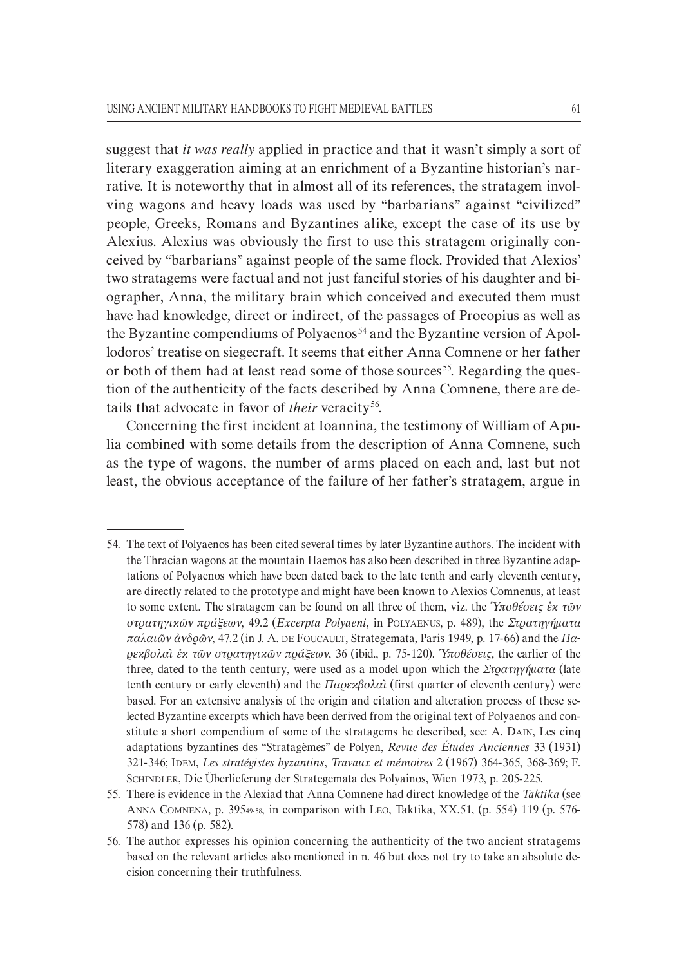suggest that *it was really* applied in practice and that it wasn't simply a sort of literary exaggeration aiming at an enrichment of a Byzantine historian's narrative. It is noteworthy that in almost all of its references, the stratagem involving wagons and heavy loads was used by "barbarians" against "civilized" people, Greeks, Romans and Byzantines alike, except the case of its use by Alexius. Alexius was obviously the first to use this stratagem originally con` ceived by "barbarians" against people of the same flock. Provided that Alexios' two stratagems were factual and not just fanciful stories of his daughter and biographer, Anna, the military brain which conceived and executed them must have had knowledge, direct or indirect, of the passages of Procopius as well as the Byzantine compendiums of Polyaenos<sup>54</sup> and the Byzantine version of Apollodoros' treatise on siegecraft. It seems that either Anna Comnene or her father or both of them had at least read some of those sources<sup>55</sup>. Regarding the question of the authenticity of the facts described by Anna Comnene, there are de` tails that advocate in favor of *their* veracity<sup>56</sup>.

Concerning the first incident at Ioannina, the testimony of William of Apulia combined with some details from the description of Anna Comnene, such as the type of wagons, the number of arms placed on each and, last but not least, the obvious acceptance of the failure of her father's stratagem, argue in

<sup>54.</sup> The text of Polyaenos has been cited several times by later Byzantine authors. The incident with the Thracian wagons at the mountain Haemos has also been described in three Byzantine adap` tations of Polyaenos which have been dated back to the late tenth and early eleventh century, are directly related to the prototype and might have been known to Alexios Comnenus, at least to some extent. The stratagem can be found on all three of them, viz. the *Ὑποθέσεις ἐκ τῶν στρατηγικῶν πράξεων*, 49.2 (*Excerpta Polyaeni*, in POLYAENUS, p. 489), the *Στρατηγήµατα παλαιῶν ἀνδρῶν*, 47.2 (in J. A. DE FOUCAULT, Strategemata, Paris 1949, p. 17-66) and the *Παρεκβολαὶ ἐκ τῶν στρατηγικῶν πράξεων*, 36 (ibid., p. 75`120). *Ὑποθέσεις,* the earlier of the three, dated to the tenth century, were used as a model upon which the *Στρατηγήματα* (late tenth century or early eleventh) and the *Παρεκβολαὶ* (first quarter of eleventh century) were based. For an extensive analysis of the origin and citation and alteration process of these selected Byzantine excerpts which have been derived from the original text of Polyaenos and con` stitute a short compendium of some of the stratagems he described, see: A. DAIN, Les cinq adaptations byzantines des "Stratagèmes" de Polyen, *Revue des Études Anciennes* 33 (1931) 321`346; IDEM, *Les stratégistes byzantins*, *Travaux et mémoires* 2 (1967) 364`365, 368`369; F. SCHINDLER, Die Überlieferung der Strategemata des Polyainos, Wien 1973, p. 205-225.

<sup>55.</sup> There is evidence in the Alexiad that Anna Comnene had direct knowledge of the *Taktika* (see ANNA COMNENA, p. 39549-58, in comparison with LEO, Taktika, XX.51, (p. 554) 119 (p. 576-578) and 136 (p. 582).

<sup>56.</sup> The author expresses his opinion concerning the authenticity of the two ancient stratagems based on the relevant articles also mentioned in n. 46 but does not try to take an absolute decision concerning their truthfulness.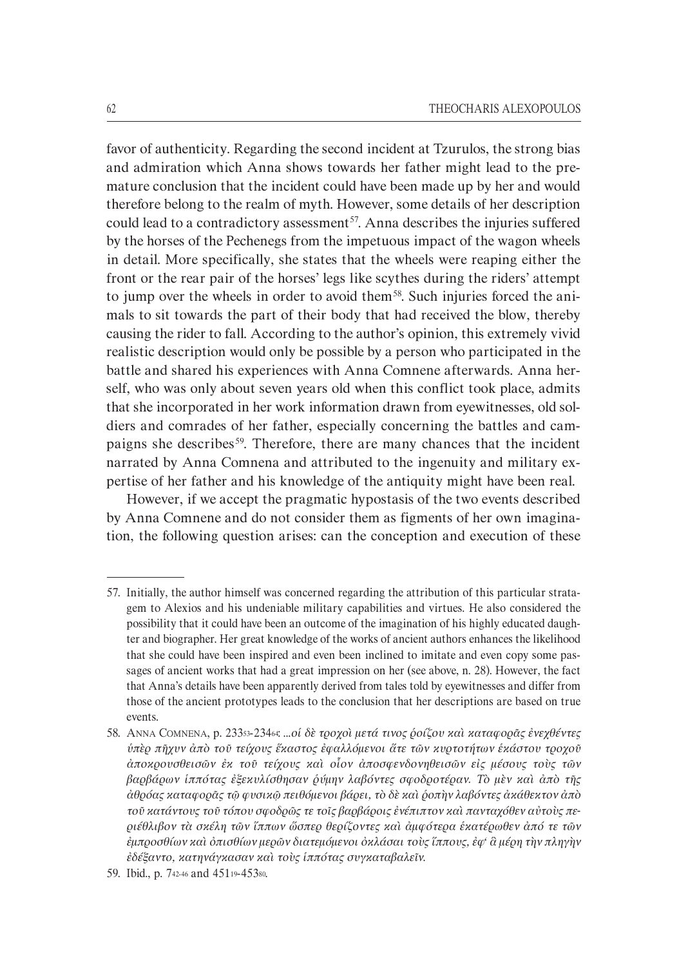favor of authenticity. Regarding the second incident at Tzurulos, the strong bias and admiration which Anna shows towards her father might lead to the premature conclusion that the incident could have been made up by her and would therefore belong to the realm of myth. However, some details of her description could lead to a contradictory assessment<sup>57</sup>. Anna describes the injuries suffered by the horses of the Pechenegs from the impetuous impact of the wagon wheels in detail. More specifically, she states that the wheels were reaping either the front or the rear pair of the horses' legs like scythes during the riders' attempt to jump over the wheels in order to avoid them<sup>58</sup>. Such injuries forced the animals to sit towards the part of their body that had received the blow, thereby causing the rider to fall. According to the author's opinion, this extremely vivid realistic description would only be possible by a person who participated in the battle and shared his experiences with Anna Comnene afterwards. Anna herself, who was only about seven years old when this conflict took place, admits that she incorporated in her work information drawn from eyewitnesses, old soldiers and comrades of her father, especially concerning the battles and cam` paigns she describes<sup>59</sup>. Therefore, there are many chances that the incident narrated by Anna Comnena and attributed to the ingenuity and military expertise of her father and his knowledge of the antiquity might have been real.

However, if we accept the pragmatic hypostasis of the two events described by Anna Comnene and do not consider them as figments of her own imagination, the following question arises: can the conception and execution of these

<sup>57.</sup> Initially, the author himself was concerned regarding the attribution of this particular strata` gem to Alexios and his undeniable military capabilities and virtues. He also considered the possibility that it could have been an outcome of the imagination of his highly educated daugh` ter and biographer. Her great knowledge of the works of ancient authors enhances the likelihood that she could have been inspired and even been inclined to imitate and even copy some passages of ancient works that had a great impression on her (see above, n. 28). However, the fact that Anna's details have been apparently derived from tales told by eyewitnesses and differ from those of the ancient prototypes leads to the conclusion that her descriptions are based on true events.

<sup>58.</sup> ANNA COMNENA, p. 23353`23464: ...*οἱ δὲ τροχοὶ µετά τινος ῥοίζου καὶ καταφορᾶς ἐνεχθέντες ὑπὲρ πῆχυν ἀπὸ τοῦ τείχους ἕκαστος ἐφαλλόµενοι ἅτε τῶν κυρτοτήτων ἑκάστου τροχοῦ ἀποκρουσθεισῶν ἐκ τοῦ τείχους καὶ οἷον ἀποσφενδονηθεισῶν εἰς µέσους τοὺς τῶν βαρβάρων ἱππότας ἐξεκυλίσθησαν ῥύµην λαβόντες σφοδροτέραν. Τὸ µὲν καὶ ἀπὸ τῆς ἀθρόας καταφορᾶς τῷ φυσικῷ πειθόµενοι βάρει, τὸ δὲ καὶ ῥοπὴν λαβόντες ἀκάθεκτον ἀπὸ τοῦ κατάντους τοῦ τόπου σφοδρῶς τε τοῖς βαρβάροις ἐνέπιπτον καὶ πανταχόθεν αὐτοὺς περιέθλιβον τὰ σκέλη τῶν ἵππων ὥσπερ θερίζοντες καὶ ἀµφότερα ἑκατέρωθεν ἀπό τε τῶν ἐµπροσθίων καὶ ὀπισθίων µερῶν διατεµόµενοι ὀκλάσαι τοὺς ἵππους, ἐφ' ἃ µέρη τὴν πληγὴν ἐδέξαντο, κατηνάγκασαν καὶ τοὺς ἱππότας συγκαταβαλεῖν*.

<sup>59.</sup> Ibid., p. 742-46 and 45119-45380.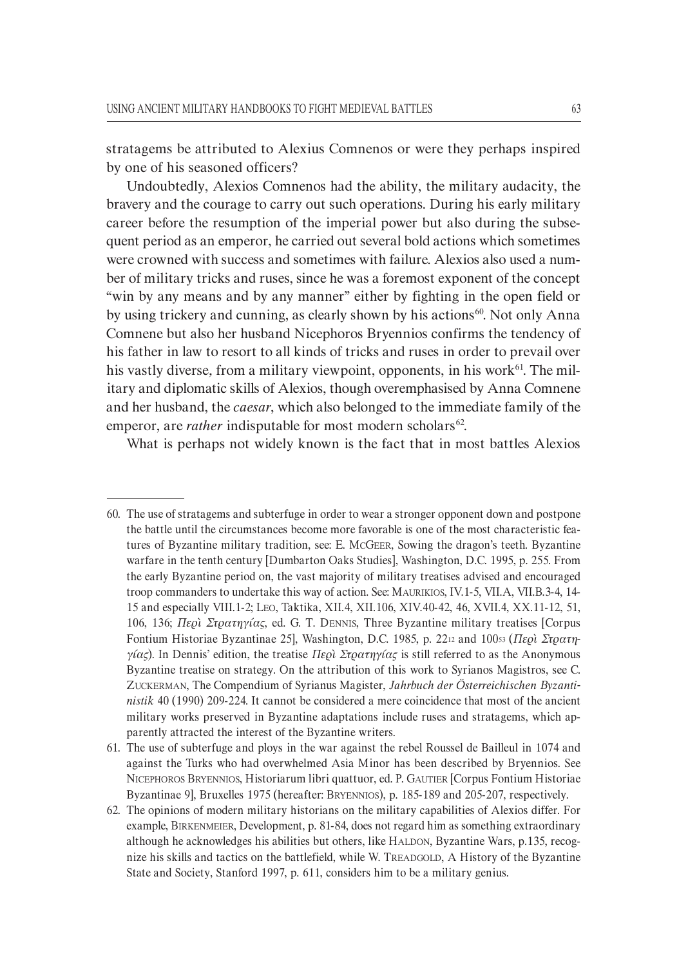stratagems be attributed to Alexius Comnenos or were they perhaps inspired by one of his seasoned officers?

Undoubtedly, Alexios Comnenos had the ability, the military audacity, the bravery and the courage to carry out such operations. During his early military career before the resumption of the imperial power but also during the subse` quent period as an emperor, he carried out several bold actions which sometimes were crowned with success and sometimes with failure. Alexios also used a number of military tricks and ruses, since he was a foremost exponent of the concept "win by any means and by any manner" either by fighting in the open field or by using trickery and cunning, as clearly shown by his actions<sup>60</sup>. Not only Anna Comnene but also her husband Nicephoros Bryennios confirms the tendency of his father in law to resort to all kinds of tricks and ruses in order to prevail over his vastly diverse, from a military viewpoint, opponents, in his work<sup>61</sup>. The military and diplomatic skills of Alexios, though overemphasised by Anna Comnene and her husband, the *caesar*, which also belonged to the immediate family of the emperor, are *rather* indisputable for most modern scholars<sup>62</sup>.

What is perhaps not widely known is the fact that in most battles Alexios

<sup>60.</sup> The use of stratagems and subterfuge in order to wear a stronger opponent down and postpone the battle until the circumstances become more favorable is one of the most characteristic fea` tures of Byzantine military tradition, see: E. MCGEER, Sowing the dragon's teeth. Byzantine warfare in the tenth century [Dumbarton Oaks Studies], Washington, D.C. 1995, p. 255. From the early Byzantine period on, the vast majority of military treatises advised and encouraged troop commanders to undertake this way of action. See: MAURIKIOS, IV.1-5, VII.Α, VII.B.3-4, 14-15 and especially VIII.1-2; LEO, Taktika, XII.4, XII.106, XIV.40-42, 46, XVII.4, XX.11-12, 51, 106, 136; *Περὶ Στρατηγίας*, ed. G. T. DENNIS, Three Byzantine military treatises [Corpus Fontium Historiae Byzantinae 25], Washington, D.C. 1985, p. 2212 and 10053 (Περὶ Στρατη*γίας*). In Dennis' edition, the treatise *Περὶ Στρατηγίας* is still referred to as the Anonymous Byzantine treatise on strategy. On the attribution of this work to Syrianos Magistros, see C. ZUCKERMAN, The Compendium of Syrianus Magister, *Jahrbuch der Österreichischen Byzantinistik* 40 (1990) 209-224. It cannot be considered a mere coincidence that most of the ancient military works preserved in Byzantine adaptations include ruses and stratagems, which ap` parently attracted the interest of the Byzantine writers.

<sup>61.</sup> The use of subterfuge and ploys in the war against the rebel Roussel de Bailleul in 1074 and against the Turks who had overwhelmed Asia Minor has been described by Bryennios. See NICEPHOROS BRYENNIOS, Historiarum libri quattuor, ed. P. GAUTIER [Corpus Fontium Historiae Byzantinae 9, Bruxelles 1975 (hereafter: BRYENNIOS), p. 185-189 and 205-207, respectively.

<sup>62.</sup> The opinions of modern military historians on the military capabilities of Alexios differ. For example, BIRKENMEIER, Development, p. 81-84, does not regard him as something extraordinary although he acknowledges his abilities but others, like HALDON, Byzantine Wars, p.135, recog` nize his skills and tactics on the battlefield, while W. TREADGOLD, A History of the Byzantine State and Society, Stanford 1997, p. 611, considers him to be a military genius.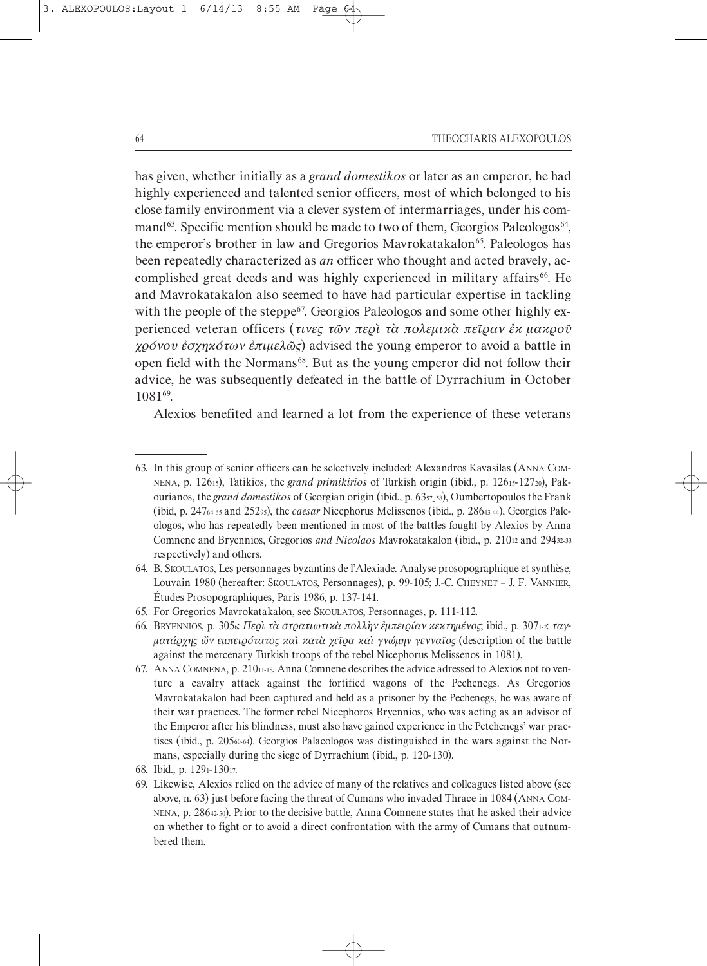#### 64 THEOCHARIS ALEXOPOULOS

has given, whether initially as a *grand domestikos* or later as an emperor, he had highly experienced and talented senior officers, most of which belonged to his close family environment via a clever system of intermarriages, under his com` mand<sup>63</sup>. Specific mention should be made to two of them, Georgios Paleologos<sup>64</sup>, the emperor's brother in law and Gregorios Mavrokatakalon<sup>65</sup>. Paleologos has been repeatedly characterized as *an* officer who thought and acted bravely, accomplished great deeds and was highly experienced in military affairs<sup>66</sup>. He and Mavrokatakalon also seemed to have had particular expertise in tackling with the people of the steppe<sup>67</sup>. Georgios Paleologos and some other highly experienced veteran officers (*τινες τῶν περὶ τὰ πολεµικὰ πεῖραν ἐκ µακροῦ χρόνου ἐσχηκότων ἐπιµελῶς*) advised the young emperor to avoid a battle in open field with the Normans<sup>68</sup>. But as the young emperor did not follow their advice, he was subsequently defeated in the battle of Dyrrachium in October 108169 .

Alexios benefited and learned a lot from the experience of these veterans

<sup>63.</sup> In this group of senior officers can be selectively included: Alexandros Kavasilas (ANNA COM` NENA, p. 12615), Tatikios, the *grand primikirios* of Turkish origin (ibid., p. 12615-12720), Pakourianos, the *grand domestikos* of Georgian origin (ibid., p. 6357 ` 58), Oumbertopoulos the Frank (ibid, p. 247<sub>6465</sub> and 25295), the *caesar* Nicephorus Melissenos (ibid., p. 2864344), Georgios Paleologos, who has repeatedly been mentioned in most of the battles fought by Alexios by Anna Comnene and Bryennios, Gregorios and Nicolaos Mavrokatakalon (ibid., p. 21012 and 29432.33 respectively) and others.

<sup>64.</sup> B. SKOULATOS, Les personnages byzantins de l'Alexiade. Analyse prosopographique et synthèse, Louvain 1980 (hereafter: SKOULATOS, Personnages), p. 99-105; J.-C. CHEYNET – J. F. VANNIER, Études Prosopographiques, Paris 1986, p. 137-141.

<sup>65.</sup> For Gregorios Mavrokatakalon, see SKOULATOS, Personnages, p. 111-112.

<sup>66.</sup> BRYENNIOS, p. 3056: *Περὶ τὰ στρατιωτικὰ πολλὴν ἐµπειρίαν κεκτηµένος*; ibid., p. 3071`2: *ταγH µατάρχης ὤν εµπειρότατος καὶ κατὰ χεῖρα καὶ γνώµην γενναῖος* (description of the battle against the mercenary Turkish troops of the rebel Nicephorus Melissenos in 1081).

<sup>67.</sup> ANNA COMNENA, p. 210 $11-18$ . Anna Comnene describes the advice adressed to Alexios not to venture a cavalry attack against the fortified wagons of the Pechenegs. As Gregorios Mavrokatakalon had been captured and held as a prisoner by the Pechenegs, he was aware of their war practices. The former rebel Nicephoros Bryennios, who was acting as an advisor of the Emperor after his blindness, must also have gained experience in the Petchenegs' war practises (ibid., p. 20560-64). Georgios Palaeologos was distinguished in the wars against the Normans, especially during the siege of Dyrrachium (ibid., p. 120-130).

<sup>68.</sup> Ibid., p. 1291-13017.

<sup>69.</sup> Likewise, Alexios relied on the advice of many of the relatives and colleagues listed above (see above, n. 63) just before facing the threat of Cumans who invaded Thrace in 1084 (ANNA COM-NENA, p. 28642-50). Prior to the decisive battle, Anna Comnene states that he asked their advice on whether to fight or to avoid a direct confrontation with the army of Cumans that outnum` bered them.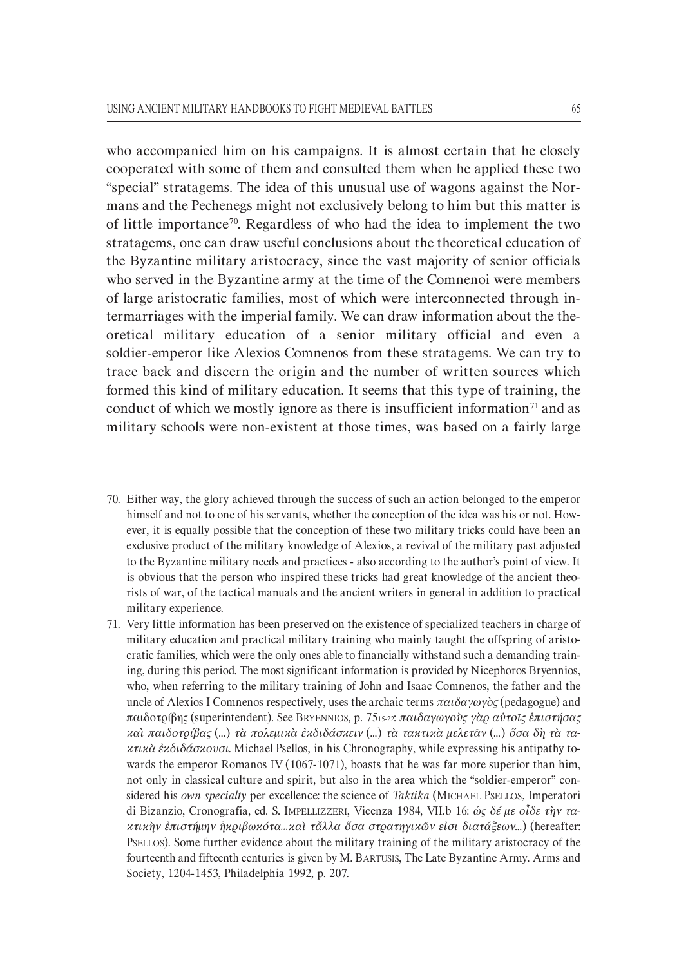who accompanied him on his campaigns. It is almost certain that he closely cooperated with some of them and consulted them when he applied these two "special" stratagems. The idea of this unusual use of wagons against the Nor` mans and the Pechenegs might not exclusively belong to him but this matter is of little importance<sup>70</sup>. Regardless of who had the idea to implement the two stratagems, one can draw useful conclusions about the theoretical education of the Byzantine military aristocracy, since the vast majority of senior officials who served in the Byzantine army at the time of the Comnenoi were members of large aristocratic families, most of which were interconnected through in` termarriages with the imperial family. We can draw information about the the` oretical military education of a senior military official and even a soldier-emperor like Alexios Comnenos from these stratagems. We can try to trace back and discern the origin and the number of written sources which formed this kind of military education. It seems that this type of training, the conduct of which we mostly ignore as there is insufficient information<sup>71</sup> and as military schools were non-existent at those times, was based on a fairly large

<sup>70.</sup> Either way, the glory achieved through the success of such an action belonged to the emperor himself and not to one of his servants, whether the conception of the idea was his or not. However, it is equally possible that the conception of these two military tricks could have been an exclusive product of the military knowledge of Alexios, a revival of the military past adjusted to the Byzantine military needs and practices - also according to the author's point of view. It is obvious that the person who inspired these tricks had great knowledge of the ancient theorists of war, of the tactical manuals and the ancient writers in general in addition to practical military experience.

<sup>71.</sup> Very little information has been preserved on the existence of specialized teachers in charge of military education and practical military training who mainly taught the offspring of aristocratic families, which were the only ones able to financially withstand such a demanding train` ing, during this period. The most significant information is provided by Nicephoros Bryennios, who, when referring to the military training of John and Isaac Comnenos, the father and the uncle of Alexios I Comnenos respectively, uses the archaic terms *παιδαγωγὸς* (pedagogue) and παιδοτρίβης (superintendent). See BRYENNIOS, p. 7515`22: *παιδαγωγοὺς γὰρ αὐτοῖς ἐπιστήσας καὶ παιδοτρίβας* (...) *τὰ πολεμικὰ ἐκδιδάσκειν* (...) *τὰ τακτικὰ μελετᾶν* (...) *ὅσα δὴ τὰ τακτικὰ ἐκδιδάσκουσι*. Michael Psellos, in his Chronography, while expressing his antipathy to` wards the emperor Romanos IV  $(1067-1071)$ , boasts that he was far more superior than him, not only in classical culture and spirit, but also in the area which the "soldier-emperor" considered his *own specialty* per excellence: the science of *Taktika* (MICHAEL PSELLOS*,* Imperatori di Bizanzio, Cronografia, ed. S. IMPELLIZZERI, Vicenza 1984, VII.b 16: *ώς δέ με οἶδε τὴν τακτικὴν ἐπιστήµην ἠκριβωκότα...καὶ τἄλλα ὅσα στρατηγικῶν εἰσι διατάξεων*…) (hereafter: PSELLOS). Some further evidence about the military training of the military aristocracy of the fourteenth and fifteenth centuries is given by M. BARTUSIS, The Late Byzantine Army. Arms and Society, 1204-1453, Philadelphia 1992, p. 207.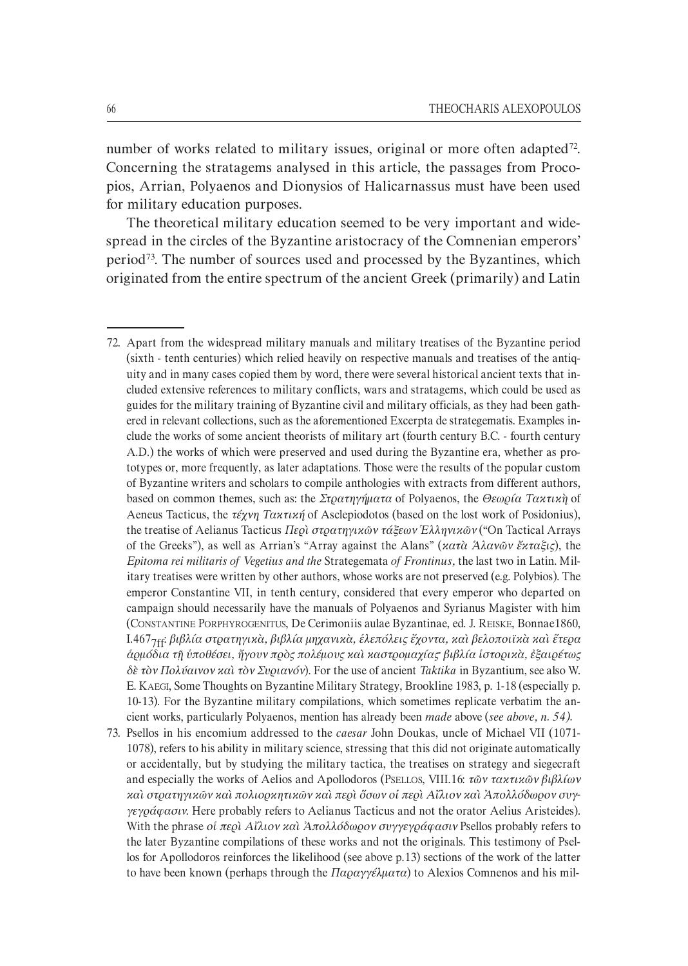number of works related to military issues, original or more often adapted<sup>72</sup>. Concerning the stratagems analysed in this article, the passages from Procopios, Arrian, Polyaenos and Dionysios of Halicarnassus must have been used for military education purposes.

The theoretical military education seemed to be very important and widespread in the circles of the Byzantine aristocracy of the Comnenian emperors' period<sup>73</sup>. The number of sources used and processed by the Byzantines, which originated from the entire spectrum of the ancient Greek (primarily) and Latin

- 72. Apart from the widespread military manuals and military treatises of the Byzantine period (sixth - tenth centuries) which relied heavily on respective manuals and treatises of the antiquity and in many cases copied them by word, there were several historical ancient texts that in` cluded extensive references to military conflicts, wars and stratagems, which could be used as guides for the military training of Byzantine civil and military officials, as they had been gath` ered in relevant collections, such as the aforementioned Excerpta de strategematis. Examples include the works of some ancient theorists of military art (fourth century B.C. - fourth century A.D.) the works of which were preserved and used during the Byzantine era, whether as prototypes or, more frequently, as later adaptations. Those were the results of the popular custom of Byzantine writers and scholars to compile anthologies with extracts from different authors, based on common themes, such as: the *Στρατηγήµατα* of Polyaenos, the *Θεωρία Τακτικὴ* of Aeneus Tacticus, the *τέχνη Τακτική* of Asclepiodotos (based on the lost work of Posidonius), the treatise of Aelianus Tacticus *Περὶ στρατηγικῶν τάξεων Ἑλληνικῶν* ("On Tactical Arrays of the Greeks"), as well as Arrian's "Array against the Alans" (*κατὰ Ἁλανῶν ἔκταξις*), the *Epitoma rei militaris of Vegetius and the* Strategemata *of Frontinus,* the last two in Latin. Mil` itary treatises were written by other authors, whose works are not preserved (e.g. Polybios). The emperor Constantine VII, in tenth century, considered that every emperor who departed on campaign should necessarily have the manuals of Polyaenos and Syrianus Magister with him (CONSTANTINE PORPHYROGENITUS, De Cerimoniis aulae Byzantinae, ed. J. REISKE, Bonnae1860, I.467<sub>7ff</sub>: βιβλία στρατηγικὰ, βιβλία μηχανικὰ, ἑλεπόλεις ἔχοντα, καὶ βελοποιϊκὰ καὶ ἕτερα *ἁρµόδια τῇ ὑποθέσει, ἤγουν πρὸς πολέµους καὶ καστροµαχίας· βιβλία ἱστορικὰ, ἐξαιρέτως δὲ τὸν Πολύαινον καὶ τὸν Συριανόν*). For the use of ancient *Taktika* in Byzantium, see also W. E. KAEGI, Some Thoughts on Byzantine Military Strategy, Brookline 1983, p. 1-18 (especially p.  $10-13$ ). For the Byzantine military compilations, which sometimes replicate verbatim the ancient works, particularly Polyaenos, mention has already been *made* above (*see above, n. 54).*
- 73. Psellos in his encomium addressed to the *caesar* John Doukas, uncle of Michael VII (1071` 1078), refers to his ability in military science, stressing that this did not originate automatically or accidentally, but by studying the military tactica, the treatises on strategy and siegecraft and especially the works of Aelios and Apollodoros (PSELLOS, VIII.16: *τῶν τακτικῶν βιβλίων καὶ στρατηγικῶν καὶ πολιορκητικῶν καὶ περὶ ὅσων οἱ περὶ Αἴλιον καὶ Ἀπολλόδωρον συγγεγράφασιν*. Here probably refers to Aelianus Tacticus and not the orator Aelius Aristeides). With the phrase *οἱ περὶ Αἴλιον καὶ Ἀπολλόδωρον συγγεγράφασιν* Psellos probably refers to the later Byzantine compilations of these works and not the originals. This testimony of Psel` los for Apollodoros reinforces the likelihood (see above p.13) sections of the work of the latter to have been known (perhaps through the Παραγγέλματα) to Alexios Comnenos and his mil-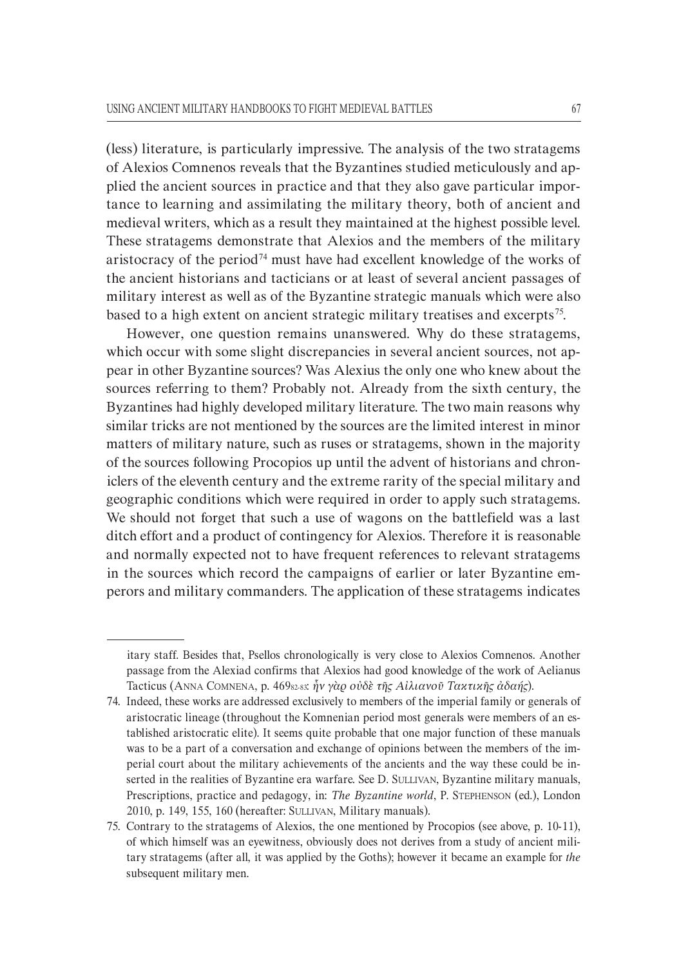(less) literature, is particularly impressive. The analysis of the two stratagems of Alexios Comnenos reveals that the Byzantines studied meticulously and ap` plied the ancient sources in practice and that they also gave particular importance to learning and assimilating the military theory, both of ancient and medieval writers, which as a result they maintained at the highest possible level. These stratagems demonstrate that Alexios and the members of the military aristocracy of the period<sup>74</sup> must have had excellent knowledge of the works of the ancient historians and tacticians or at least of several ancient passages of military interest as well as of the Byzantine strategic manuals which were also based to a high extent on ancient strategic military treatises and excerpts<sup>75</sup>.

However, one question remains unanswered. Why do these stratagems, which occur with some slight discrepancies in several ancient sources, not appear in other Byzantine sources? Was Alexius the only one who knew about the sources referring to them? Probably not. Already from the sixth century, the Byzantines had highly developed military literature. The two main reasons why similar tricks are not mentioned by the sources are the limited interest in minor matters of military nature, such as ruses or stratagems, shown in the majority of the sources following Procopios up until the advent of historians and chron` iclers of the eleventh century and the extreme rarity of the special military and geographic conditions which were required in order to apply such stratagems. We should not forget that such a use of wagons on the battlefield was a last ditch effort and a product of contingency for Alexios. Therefore it is reasonable and normally expected not to have frequent references to relevant stratagems in the sources which record the campaigns of earlier or later Byzantine emperors and military commanders. The application of these stratagems indicates

itary staff. Besides that, Psellos chronologically is very close to Alexios Comnenos. Another passage from the Alexiad confirms that Alexios had good knowledge of the work of Aelianus Tacticus (ANNA COMNENA, p. 46982`83: *ἦν γὰρ οὐδὲ τῆς Αἰλιανοῦ Τακτικῆς ἀδαής*).

<sup>74.</sup> Indeed, these works are addressed exclusively to members of the imperial family or generals of aristocratic lineage (throughout the Komnenian period most generals were members of an es` tablished aristocratic elite). It seems quite probable that one major function of these manuals was to be a part of a conversation and exchange of opinions between the members of the imperial court about the military achievements of the ancients and the way these could be in` serted in the realities of Byzantine era warfare. See D. SULLIVAN, Byzantine military manuals, Prescriptions, practice and pedagogy, in: *The Byzantine world*, P. STEPHENSON (ed.), London 2010, p. 149, 155, 160 (hereafter: SULLIVAN, Military manuals).

<sup>75.</sup> Contrary to the stratagems of Alexios, the one mentioned by Procopios (see above, p. 10`11), of which himself was an eyewitness, obviously does not derives from a study of ancient mili` tary stratagems (after all, it was applied by the Goths); however it became an example for *the* subsequent military men.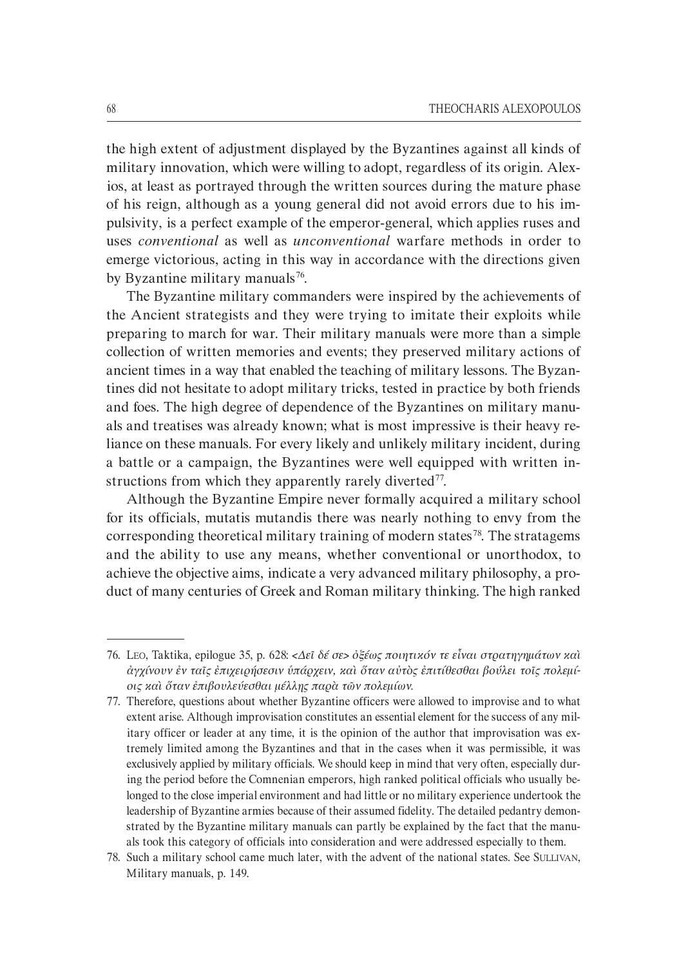the high extent of adjustment displayed by the Byzantines against all kinds of military innovation, which were willing to adopt, regardless of its origin. Alexios, at least as portrayed through the written sources during the mature phase of his reign, although as a young general did not avoid errors due to his im` pulsivity, is a perfect example of the emperor-general, which applies ruses and uses *conventional* as well as *unconventional* warfare methods in order to emerge victorious, acting in this way in accordance with the directions given by Byzantine military manuals<sup>76</sup>.

The Byzantine military commanders were inspired by the achievements of the Ancient strategists and they were trying to imitate their exploits while preparing to march for war. Their military manuals were more than a simple collection of written memories and events; they preserved military actions of ancient times in a way that enabled the teaching of military lessons. The Byzan` tines did not hesitate to adopt military tricks, tested in practice by both friends and foes. The high degree of dependence of the Byzantines on military manuals and treatises was already known; what is most impressive is their heavy re` liance on these manuals. For every likely and unlikely military incident, during a battle or a campaign, the Byzantines were well equipped with written in` structions from which they apparently rarely diverted<sup>77</sup>.

Although the Byzantine Empire never formally acquired a military school for its officials, mutatis mutandis there was nearly nothing to envy from the corresponding theoretical military training of modern states<sup>78</sup>. The stratagems and the ability to use any means, whether conventional or unorthodox, to achieve the objective aims, indicate a very advanced military philosophy, a pro` duct of many centuries of Greek and Roman military thinking. The high ranked

<sup>76.</sup> LEO, Taktika, epilogue 35, p. 628: *<∆εῖ δέ σε> ὀξέως ποιητικόν τε εἶναι στρατηγηµάτων καὶ ἀγχίνουν ἐν ταῖς ἐπιχειρήσεσιν ὑπάρχειν, καὶ ὅταν αὐτὸς ἐπιτίθεσθαι βούλει τοῖς πολεμίοις καὶ ὅταν ἐπιβουλεύεσθαι µέλλῃς παρὰ τῶν πολεµίων*.

<sup>77.</sup> Therefore, questions about whether Byzantine officers were allowed to improvise and to what extent arise. Although improvisation constitutes an essential element for the success of any military officer or leader at any time, it is the opinion of the author that improvisation was extremely limited among the Byzantines and that in the cases when it was permissible, it was exclusively applied by military officials. We should keep in mind that very often, especially during the period before the Comnenian emperors, high ranked political officials who usually be` longed to the close imperial environment and had little or no military experience undertook the leadership of Byzantine armies because of their assumed fidelity. The detailed pedantry demon` strated by the Byzantine military manuals can partly be explained by the fact that the manuals took this category of officials into consideration and were addressed especially to them.

<sup>78.</sup> Such a military school came much later, with the advent of the national states. See SULLIVAN, Military manuals, p. 149.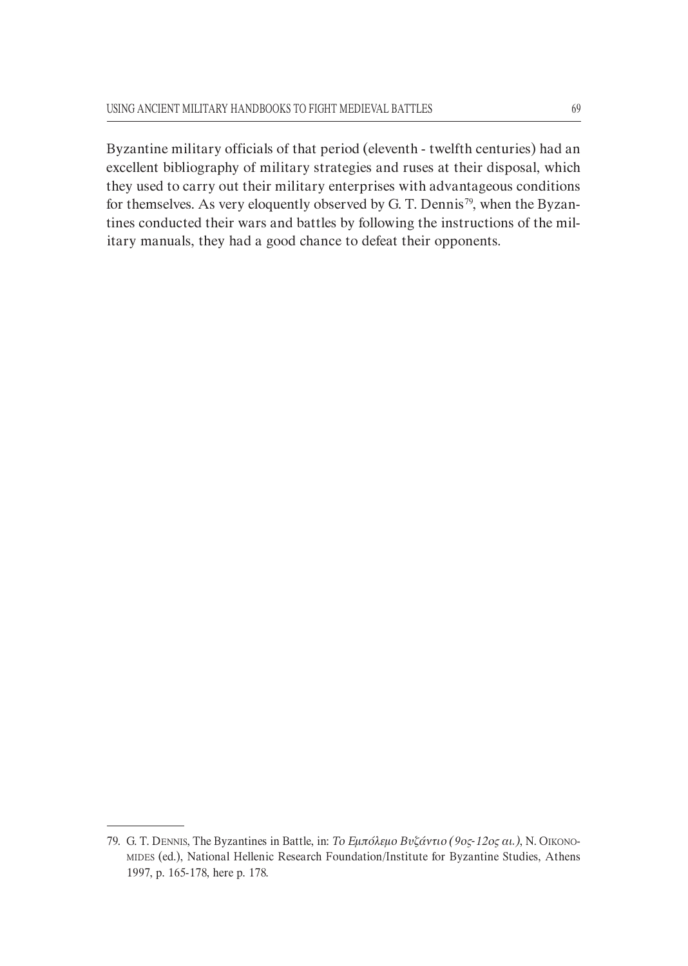Byzantine military officials of that period (eleventh - twelfth centuries) had an excellent bibliography of military strategies and ruses at their disposal, which they used to carry out their military enterprises with advantageous conditions for themselves. As very eloquently observed by G. T. Dennis<sup>79</sup>, when the Byzantines conducted their wars and battles by following the instructions of the mil` itary manuals, they had a good chance to defeat their opponents.

<sup>79.</sup> G. T. DENNIS, The Byzantines in Battle, in: *Το Εµπόλεµο Βυζάντιο (9οςH12ος αι.)*, N. OIKONO` MIDES (ed.), National Hellenic Research Foundation/Institute for Byzantine Studies, Athens 1997, p. 165-178, here p. 178.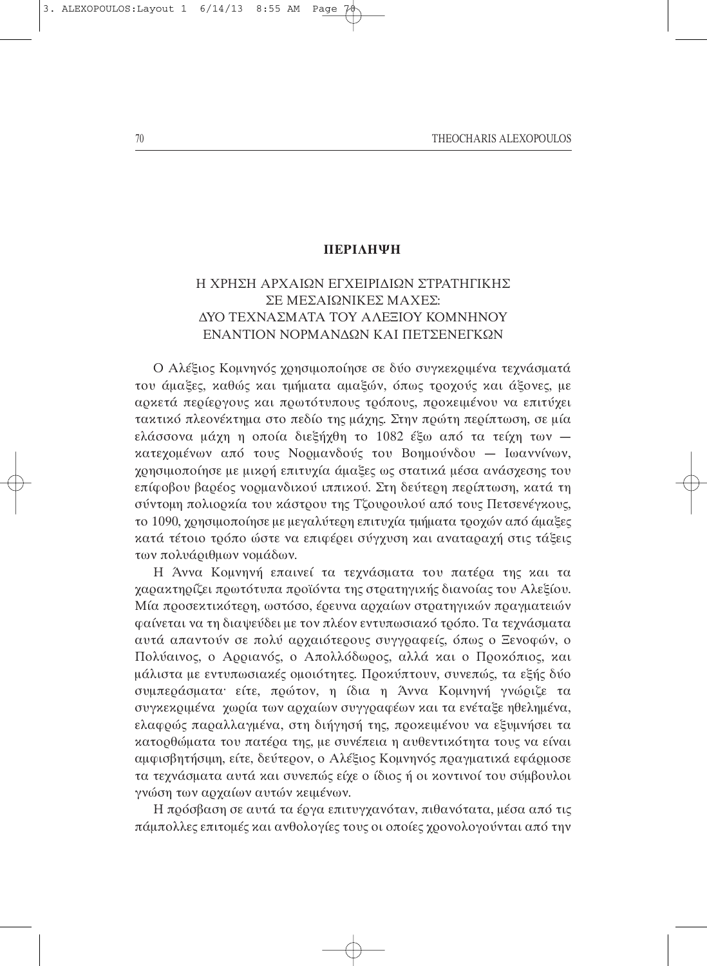### **ΠΕΡΙΛΗΨΗ**

## Η ΧΡΗΣΗ ΑΡΧΑΙΩΝ ΕΓΧΕΙΡΙ∆ΙΩΝ ΣΤΡΑΤΗΓΙΚΗΣ ΣΕ ΜΕΣΑΙΩΝΙΚΕΣ ΜΑΧΕΣ: ∆ΥΟ ΤΕΧΝΑΣΜΑΤΑ ΤΟΥ ΑΛΕΞΙΟΥ ΚΟΜΝΗΝΟΥ ΕΝΑΝΤΙΟΝ ΝΟΡΜΑΝ∆ΩΝ ΚΑΙ ΠΕΤΣΕΝΕΓΚΩΝ

Ο Αλέξιος Κοµνηνός χρησιµοποίησε σε δύο συγκεκριµένα τεχνάσµατά του άµαξες, καθώς και τµήµατα αµαξών, όπως τροχούς και άξονες, µε αρκετά περίεργους και πρωτότυπους τρόπους, προκειµένου να επιτύχει τακτικό πλεονέκτηµα στο πεδίο της µάχης. Στην πρώτη περίπτωση, σε µία ελάσσονα µάχη η οποία διεξήχθη το 1082 έξω από τα τείχη των κατεχοµένων από τους Νορµανδούς του Βοηµούνδου — Ιωαννίνων, χρησιµοποίησε µε µικρή επιτυχία άµαξες ως στατικά µέσα ανάσχεσης του επίφοβου βαρέος νορµανδικού ιππικού. Στη δεύτερη περίπτωση, κατά τη σύντοµη πολιορκία του κάστρου της Τζουρουλού από τους Πετσενέγκους, το 1090, χρησιµοποίησε µε µεγαλύτερη επιτυχία τµήµατα τροχών από άµαξες κατά τέτοιο τρόπο ώστε να επιφέρει σύγχυση και αναταραχή στις τάξεις των πολυάριθµων νοµάδων.

Η Άννα Κοµνηνή επαινεί τα τεχνάσµατα του πατέρα της και τα χαρακτηρίζει πρωτότυπα προόντα της στρατηγικής διανοίας του Αλεξίου. Μία προσεκτικότερη, ωστόσο, έρευνα αρχαίων στρατηγικών πραγµατειών φαίνεται να τη διαψεύδει µε τον πλέον εντυπωσιακό τρόπο. Τα τεχνάσµατα αυτά απαντούν σε πολύ αρχαιότερους συγγραφείς, όπως ο Ξενοφών, ο Πολύαινος, ο Αρριανός, ο Απολλόδωρος, αλλά και ο Προκόπιος, και µάλιστα µε εντυπωσιακές οµοιότητες. Προκύπτουν, συνεπώς, τα εξής δύο συµπεράσµατα· είτε, πρώτον, η ίδια η Άννα Κοµνηνή γνώριζε τα συγκεκριµένα χωρία των αρχαίων συγγραφέων και τα ενέταξε ηθεληµένα, ελαφρώς παραλλαγµένα, στη διήγησή της, προκειµένου να εξυµνήσει τα κατορθώµατα του πατέρα της, µε συνέπεια η αυθεντικότητα τους να είναι αµφισβητήσιµη, είτε, δεύτερον, ο Αλέξιος Κοµνηνός πραγµατικά εφάρµοσε τα τεχνάσµατα αυτά και συνεπώς είχε ο ίδιος ή οι κοντινοί του σύµβουλοι γνώση των αρχαίων αυτών κειµένων.

Η πρόσβαση σε αυτά τα έργα επιτυγχανόταν, πιθανότατα, µέσα από τις πάµπολλες επιτοµές και ανθολογίες τους οι οποίες χρονολογούνται από την